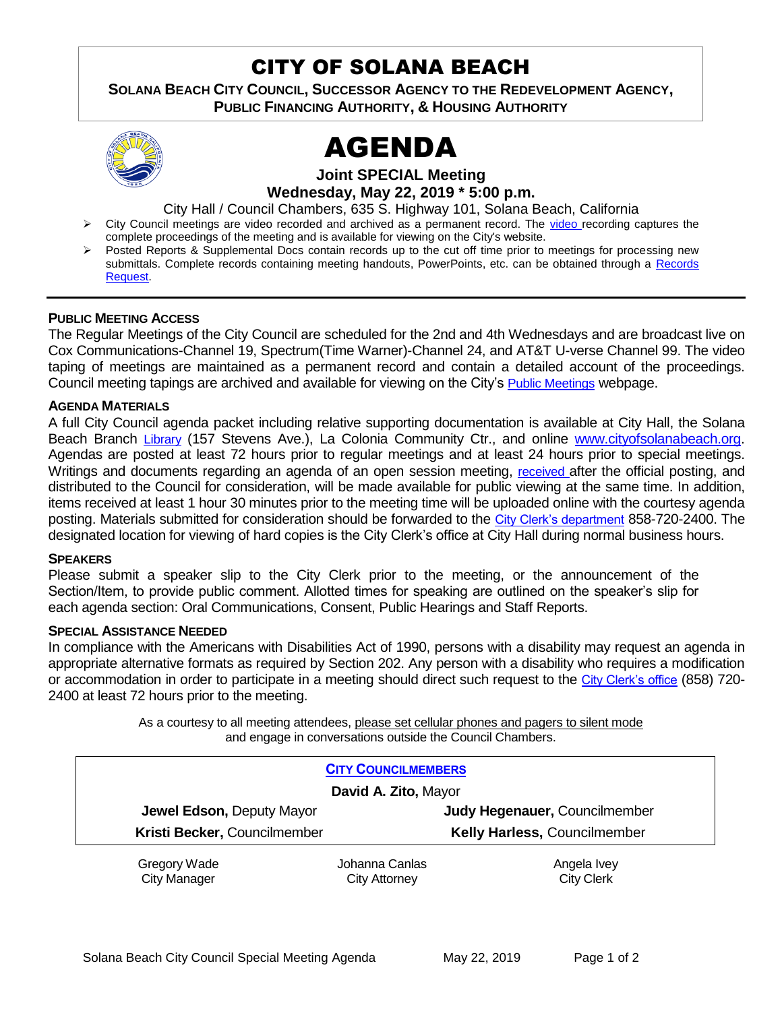## CITY OF SOLANA BEACH

**SOLANA BEACH CITY COUNCIL, SUCCESSOR AGENCY TO THE REDEVELOPMENT AGENCY, PUBLIC FINANCING AUTHORITY, & HOUSING AUTHORITY**



# AGENDA

**Joint SPECIAL Meeting**

**Wednesday, May 22, 2019 \* 5:00 p.m.**

City Hall / Council Chambers, 635 S. Highway 101, Solana Beach, California

- Tription City Council meetings are [video r](https://solanabeach.12milesout.com/#page=1)ecorded and archived as a permanent record. The video recording captures the complete proceedings of the meeting and is available for viewing on the City's website.
- Posted Reports & Supplemental Docs contain records up to the cut off time prior to meetings for processing new submittals. Complete records containing meeting handouts, PowerPoints, etc. can be obtained through a [Records](http://www.ci.solana-beach.ca.us/index.asp?SEC=F5D45D10-70CE-4291-A27C-7BD633FC6742&Type=B_BASIC) [Request.](http://www.ci.solana-beach.ca.us/index.asp?SEC=F5D45D10-70CE-4291-A27C-7BD633FC6742&Type=B_BASIC)

#### **PUBLIC MEETING ACCESS**

The Regular Meetings of the City Council are scheduled for the 2nd and 4th Wednesdays and are broadcast live on Cox Communications-Channel 19, Spectrum(Time Warner)-Channel 24, and AT&T U-verse Channel 99. The video taping of meetings are maintained as a permanent record and contain a detailed account of the proceedings. Council meeting tapings are archived and available for viewing on the City's [Public Meetings](https://www.ci.solana-beach.ca.us/index.asp?SEC=F0F1200D-21C6-4A88-8AE1-0BC07C1A81A7&Type=B_BASIC) webpage.

#### **AGENDA MATERIALS**

A full City Council agenda packet including relative supporting documentation is available at City Hall, the Solana Beach Branch [Library](http://www.sdcl.org/locations_SB.html) (157 Stevens Ave.), La Colonia Community Ctr., and online [www.cityofsolanabeach.org.](http://www.cityofsolanabeach.org/) Agendas are posted at least 72 hours prior to regular meetings and at least 24 hours prior to special meetings. Writings and documents regarding an agenda of an open session meeting, [received](mailto:EMAILGRP-CityClerksOfc@cosb.org) after the official posting, and distributed to the Council for consideration, will be made available for public viewing at the same time. In addition, items received at least 1 hour 30 minutes prior to the meeting time will be uploaded online with the courtesy agenda posting. Materials submitted for consideration should be forwarded to the [City Clerk's department](mailto:EMAILGRP-CityClerksOfc@cosb.org) 858-720-2400. The designated location for viewing of hard copies is the City Clerk's office at City Hall during normal business hours.

#### **SPEAKERS**

Please submit a speaker slip to the City Clerk prior to the meeting, or the announcement of the Section/Item, to provide public comment. Allotted times for speaking are outlined on the speaker's slip for each agenda section: Oral Communications, Consent, Public Hearings and Staff Reports.

#### **SPECIAL ASSISTANCE NEEDED**

In compliance with the Americans with Disabilities Act of 1990, persons with a disability may request an agenda in appropriate alternative formats as required by Section 202. Any person with a disability who requires a modification or accommodation in order to participate in a meeting should direct such request to the [City Clerk's office](mailto:clerkadmin@cosb.org?subject=City%20Clerk%20Notice%20of%20Special%20Services%20Needed) (858) 720- 2400 at least 72 hours prior to the meeting.

> As a courtesy to all meeting attendees, please set cellular phones and pagers to silent mode and engage in conversations outside the Council Chambers.

| <b>CITY COUNCILMEMBERS</b>          |                                        |                                     |  |  |
|-------------------------------------|----------------------------------------|-------------------------------------|--|--|
|                                     | David A. Zito, Mayor                   |                                     |  |  |
| Jewel Edson, Deputy Mayor           |                                        | Judy Hegenauer, Councilmember       |  |  |
| Kristi Becker, Councilmember        |                                        | <b>Kelly Harless, Councilmember</b> |  |  |
| Gregory Wade<br><b>City Manager</b> | Johanna Canlas<br><b>City Attorney</b> | Angela Ivey<br><b>City Clerk</b>    |  |  |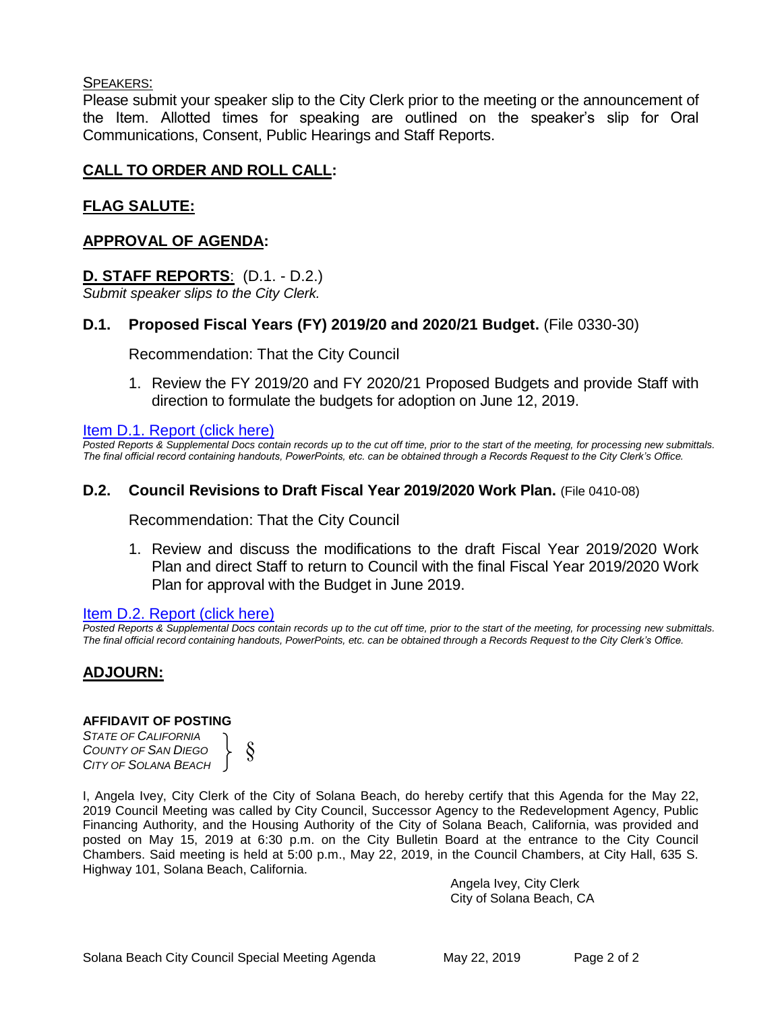#### SPEAKERS:

Please submit your speaker slip to the City Clerk prior to the meeting or the announcement of the Item. Allotted times for speaking are outlined on the speaker's slip for Oral Communications, Consent, Public Hearings and Staff Reports.

#### **CALL TO ORDER AND ROLL CALL:**

#### **FLAG SALUTE:**

#### **APPROVAL OF AGENDA:**

#### **D. STAFF REPORTS**: (D.1. - D.2.)

*Submit speaker slips to the City Clerk.*

#### **D.1. Proposed Fiscal Years (FY) 2019/20 and 2020/21 Budget.** (File 0330-30)

Recommendation: That the City Council

1. Review the FY 2019/20 and FY 2020/21 Proposed Budgets and provide Staff with [direction to formulate the budgets for adoption on June 12, 2019.](#page-2-0)

#### Item D.1. Report (click here)

*Posted Reports & Supplemental Docs contain records up to the cut off time, prior to the start of the meeting, for processing new submittals. The final official record containing handouts, PowerPoints, etc. can be obtained through a Records Request to the City Clerk's Office.*

#### **D.2. Council Revisions to Draft Fiscal Year 2019/2020 Work Plan.** (File 0410-08)

Recommendation: That the City Council

1. Review and discuss the modifications to the draft Fiscal Year 2019/2020 Work [Plan and direct Staff to return to Council with the final Fiscal Year 2019/2020 Work](#page-3-0) Plan for approval with the Budget in June 2019.

#### Item D.2. Report (click here)

*Posted Reports & Supplemental Docs contain records up to the cut off time, prior to the start of the meeting, for processing new submittals. The final official record containing handouts, PowerPoints, etc. can be obtained through a Records Request to the City Clerk's Office.*

#### **ADJOURN:**

#### **AFFIDAVIT OF POSTING**

*STATE OF CALIFORNIA COUNTY OF SAN DIEGO CITY OF SOLANA BEACH*



I, Angela Ivey, City Clerk of the City of Solana Beach, do hereby certify that this Agenda for the May 22, 2019 Council Meeting was called by City Council, Successor Agency to the Redevelopment Agency, Public Financing Authority, and the Housing Authority of the City of Solana Beach, California, was provided and posted on May 15, 2019 at 6:30 p.m. on the City Bulletin Board at the entrance to the City Council Chambers. Said meeting is held at 5:00 p.m., May 22, 2019, in the Council Chambers, at City Hall, 635 S. Highway 101, Solana Beach, California.

> Angela Ivey, City Clerk City of Solana Beach, CA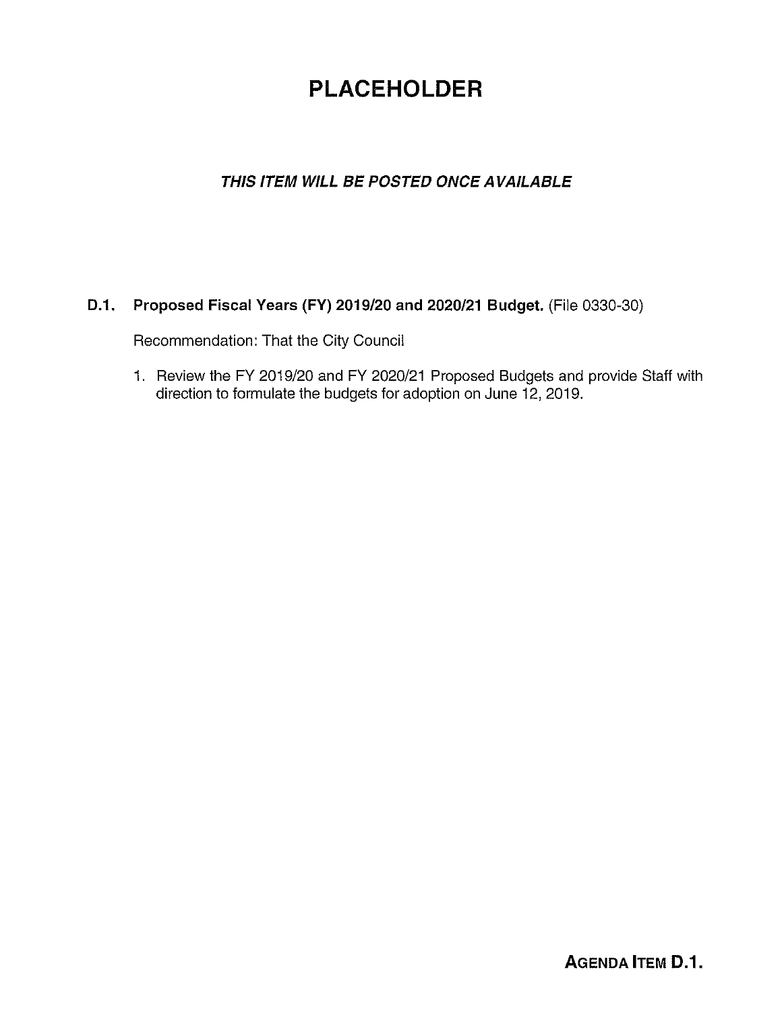## **PLACEHOLDER**

## <span id="page-2-0"></span>**THIS ITEM WILL BE POSTED ONCE AVAILABLE**

#### **D.1. Proposed Fiscal Years (FY) 2019/20 and 2020/21 Budget.** (File 0330-30)

Recommendation: That the City Council

1. Review the FY 2019/20 and FY 2020/21 Proposed Budgets and provide Staff with direction to formulate the budgets for adoption on June 12, 2019.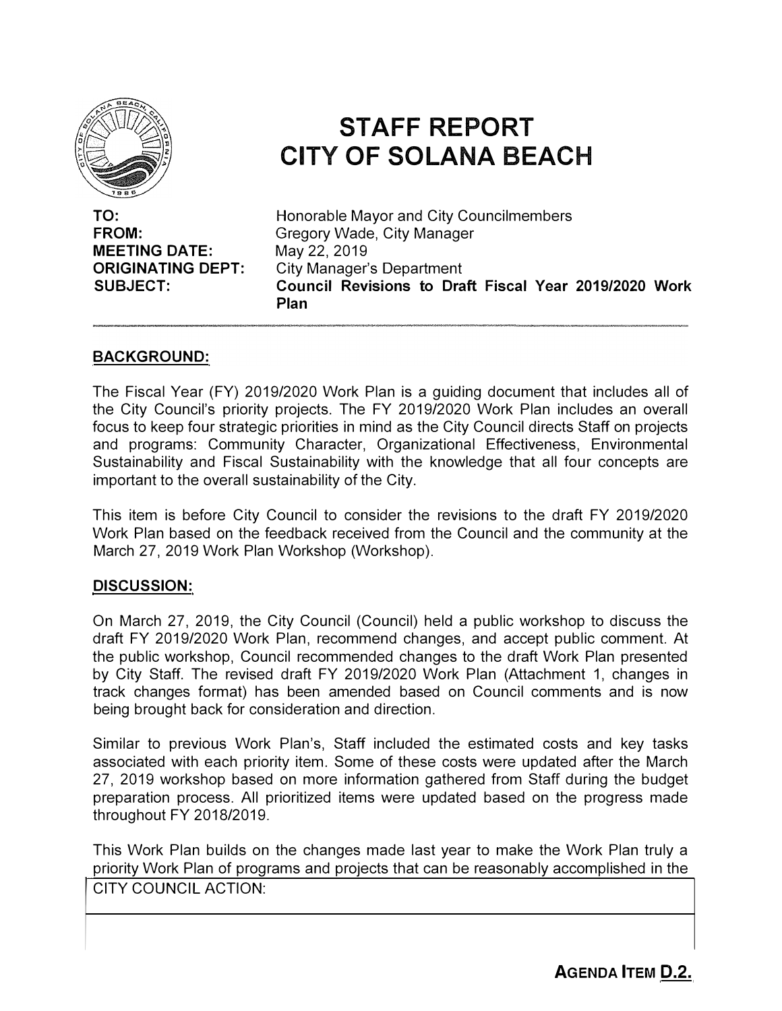<span id="page-3-0"></span>

## **STAFF REPORT CITY OF SOLANA BEACH**

**TO: FROM: MEETING DATE: ORIGINATING DEPT: SUBJECT:** 

Honorable Mayor and City Councilmembers Gregory Wade, City Manager May 22, 2019 City Manager's Department **Council Revisions to Draft Fiscal Year 2019/2020 Work Plan**

#### **BACKGROUND:**

The Fiscal Year (FY) 2019/2020 Work Plan is a guiding document that includes all of the City Council's priority projects. The FY 2019/2020 Work Plan includes an overall focus to keep four strategic priorities in mind as the City Council directs Staff on projects and programs: Community Character, Organizational Effectiveness, Environmental Sustainability and Fiscal Sustainability with the knowledge that all four concepts are important to the overall sustainability of the City.

This item is before City Council to consider the revisions to the draft FY 2019/2020 Work Plan based on the feedback received from the Council and the community at the March 27, 2019 Work Plan Workshop (Workshop).

#### **DISCUSSION:**

On March 27, 2019, the City Council (Council) held a public workshop to discuss the draft FY 2019/2020 Work Plan, recommend changes, and accept public comment. At the public workshop, Council recommended changes to the draft Work Plan presented by City Staff. The revised draft FY 2019/2020 Work Plan (Attachment 1, changes in track changes format) has been amended based on Council comments and is now being brought back for consideration and direction.

Similar to previous Work Plan's, Staff included the estimated costs and key tasks associated with each priority item. Some of these costs were updated after the March 27, 2019 workshop based on more information gathered from Staff during the budget preparation process. All prioritized items were updated based on the progress made throughout FY 2018/2019.

This Work Plan builds on the changes made last year to make the Work Plan truly a priority Work Plan of programs and projects that can be reasonably accomplished in the priority vvork Plan of programs and projects that can be reasonably accomplished in the<br>CITY COUNCIL ACTION:<br>AGENDA ITEM D 2

|<br>|<br>|<br>|<br>|

**AGENDA ITEM D.2.**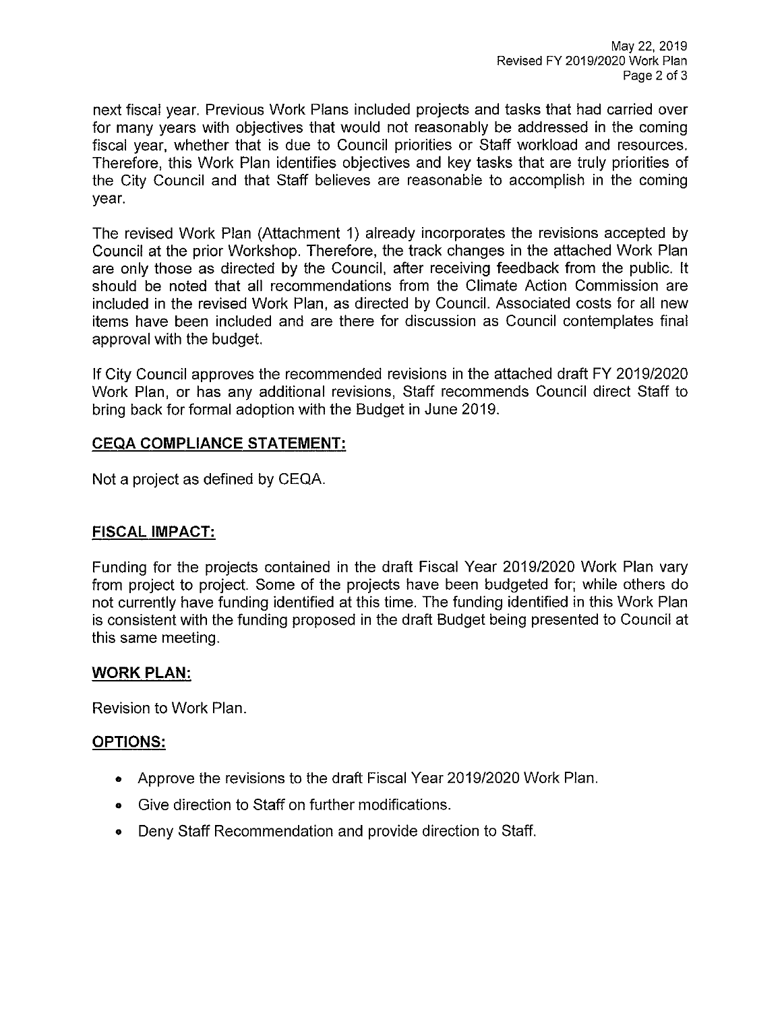next fiscal year. Previous Work Plans included projects and tasks that had carried over for many years with objectives that would not reasonably be addressed in the coming fiscal year, whether that is due to Council priorities or Staff workload and resources. Therefore, this Work Plan identifies objectives and key tasks that are truly priorities of the City Council and that Staff believes are reasonable to accomplish in the coming year.

The revised Work Plan (Attachment 1) already incorporates the revisions accepted by Council at the prior Workshop. Therefore, the track changes in the attached Work Plan are only those as directed by the Council, after receiving feedback from the public. It should be noted that all recommendations from the Climate Action Commission are included in the revised Work Plan, as directed by Council. Associated costs for all new items have been included and are there for discussion as Council contemplates final approval with the budget.

If City Council approves the recommended revisions in the attached draft FY 2019/2020 Work Plan, or has any additional revisions, Staff recommends Council direct Staff to bring back for formal adoption with the Budget in June 2019.

#### **CEQA COMPLIANCE STATEMENT:**

Not a project as defined by CEQA.

#### **FISCAL IMPACT:**

Funding for the projects contained in the draft Fiscal Year 2019/2020 Work Plan vary from project to project. Some of the projects have been budgeted for; while others do not currently have funding identified at this time. The funding identified in this Work Plan is consistent with the funding proposed in the draft Budget being presented to Council at this same meeting.

#### **WORK PLAN:**

Revision to Work Plan.

#### **OPTIONS:**

- Approve the revisions to the draft Fiscal Year 2019/2020 Work Plan.
- Give direction to Staff on further modifications.
- Deny Staff Recommendation and provide direction to Staff.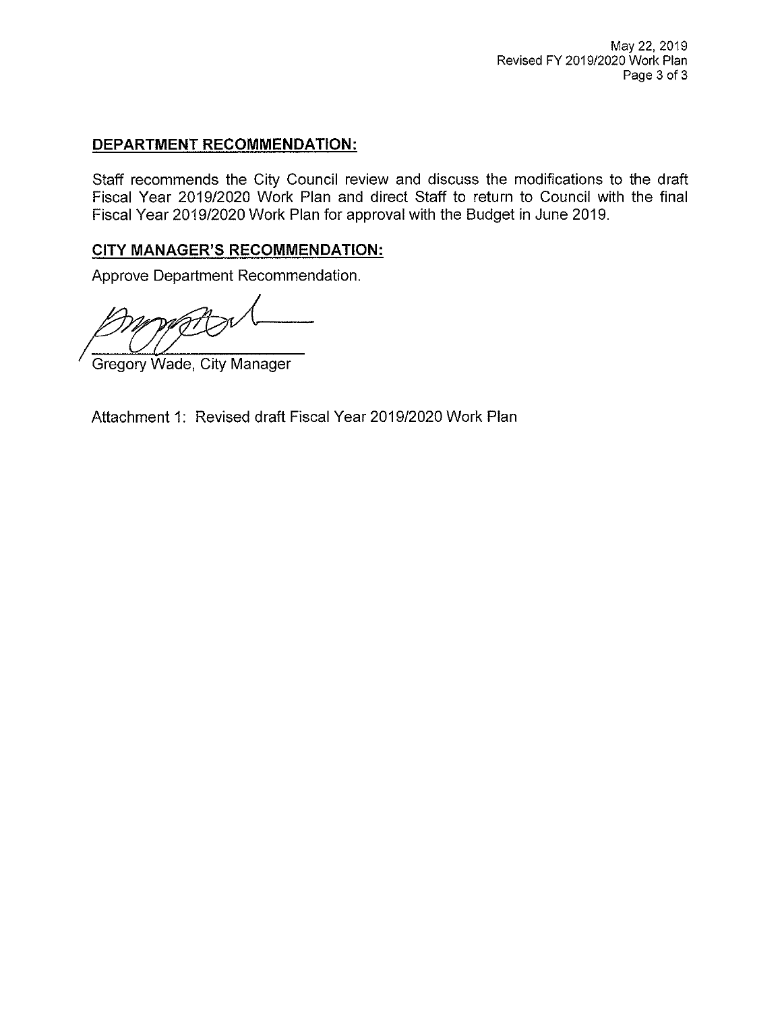#### **DEPARTMENT RECOMMENDATION:**

Staff recommends the City Council review and discuss the modifications to the draft Fiscal Year 2019/2020 Work Plan and direct Staff to return to Council with the final Fiscal Year 2019/2020 Work Plan for approval with the Budget in June 2019.

#### **CITY MANAGER'S RECOMMENDATION:**

Approve Department Recommendation.

**Gregory Wade, City Manager** 

Attachment 1: Revised draft Fiscal Year 2019/2020 Work Plan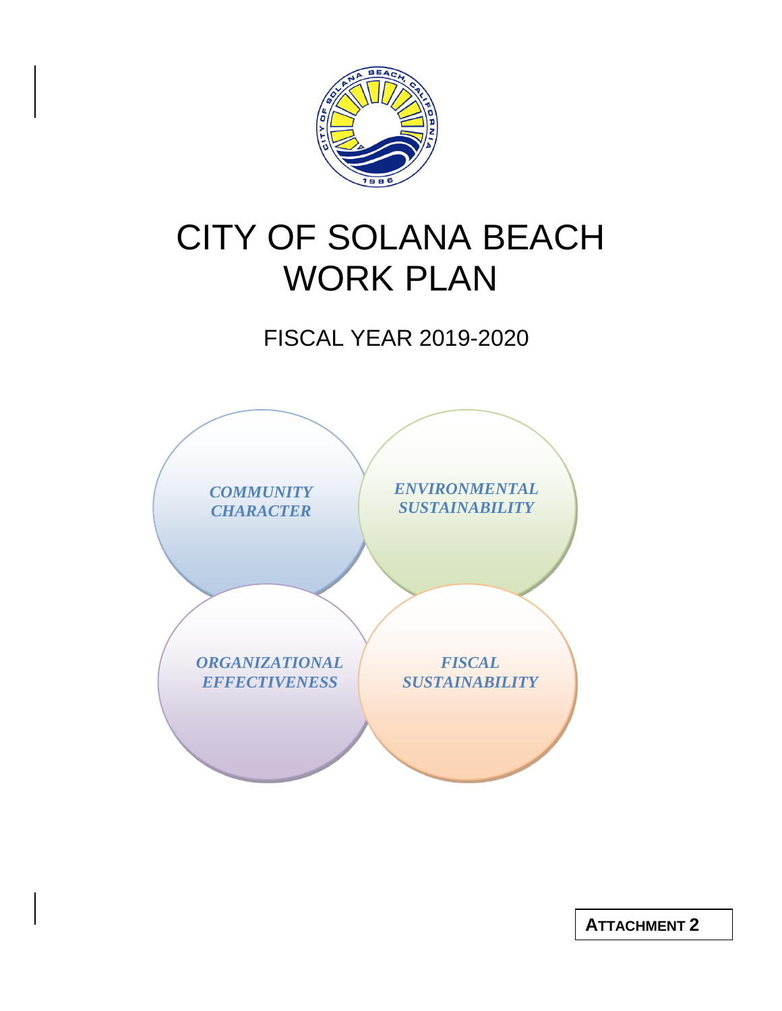

# CITY OF SOLANA BEACH WORK PLAN

## FISCAL YEAR 2019-2020



**ATTACHMENT 2**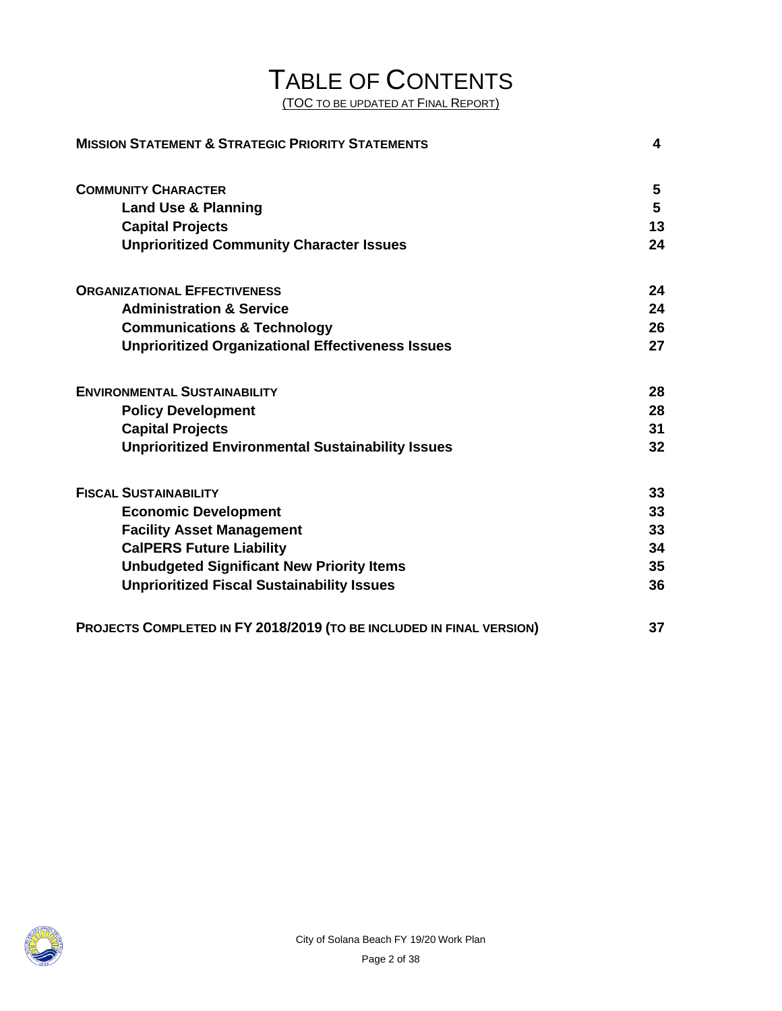# TABLE OF CONTENTS

(TOC TO BE UPDATED AT FINAL REPORT)

| <b>MISSION STATEMENT &amp; STRATEGIC PRIORITY STATEMENTS</b>         |    |
|----------------------------------------------------------------------|----|
| <b>COMMUNITY CHARACTER</b>                                           | 5  |
| <b>Land Use &amp; Planning</b>                                       | 5  |
| <b>Capital Projects</b>                                              | 13 |
| <b>Unprioritized Community Character Issues</b>                      | 24 |
| <b>ORGANIZATIONAL EFFECTIVENESS</b>                                  | 24 |
| <b>Administration &amp; Service</b>                                  | 24 |
| <b>Communications &amp; Technology</b>                               | 26 |
| <b>Unprioritized Organizational Effectiveness Issues</b>             | 27 |
| <b>ENVIRONMENTAL SUSTAINABILITY</b>                                  | 28 |
| <b>Policy Development</b>                                            | 28 |
| <b>Capital Projects</b>                                              | 31 |
| <b>Unprioritized Environmental Sustainability Issues</b>             | 32 |
| <b>FISCAL SUSTAINABILITY</b>                                         | 33 |
| <b>Economic Development</b>                                          | 33 |
| <b>Facility Asset Management</b>                                     | 33 |
| <b>CalPERS Future Liability</b>                                      | 34 |
| <b>Unbudgeted Significant New Priority Items</b>                     | 35 |
| <b>Unprioritized Fiscal Sustainability Issues</b>                    | 36 |
| PROJECTS COMPLETED IN FY 2018/2019 (TO BE INCLUDED IN FINAL VERSION) | 37 |

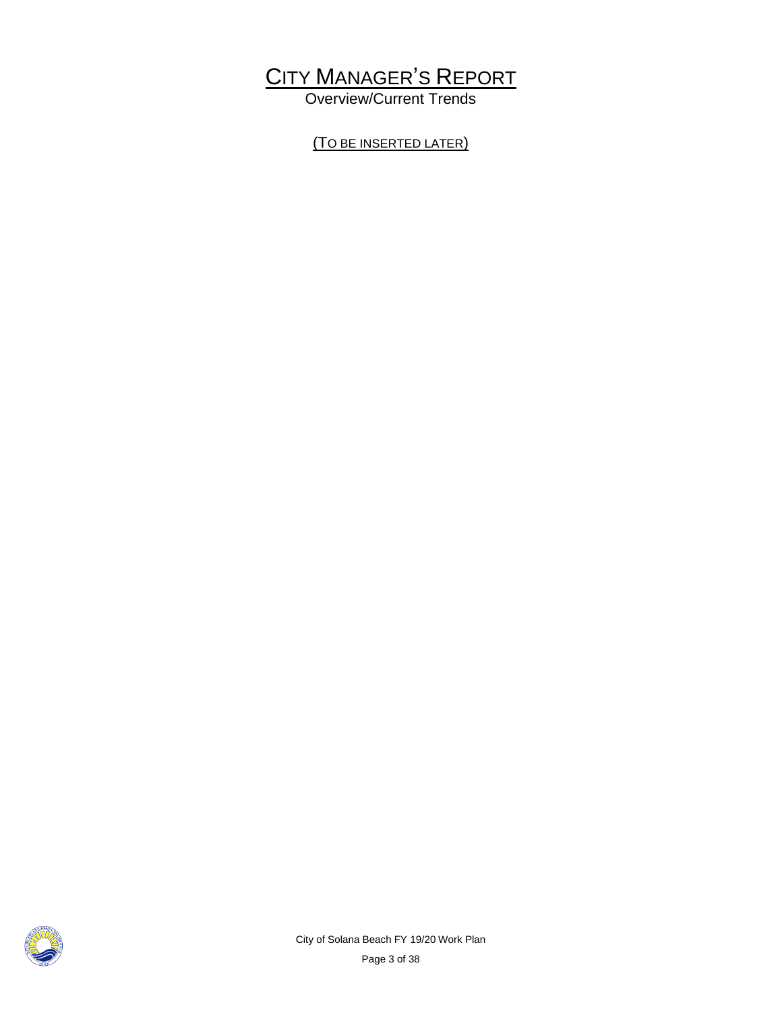## CITY MANAGER'S REPORT

Overview/Current Trends

(TO BE INSERTED LATER)

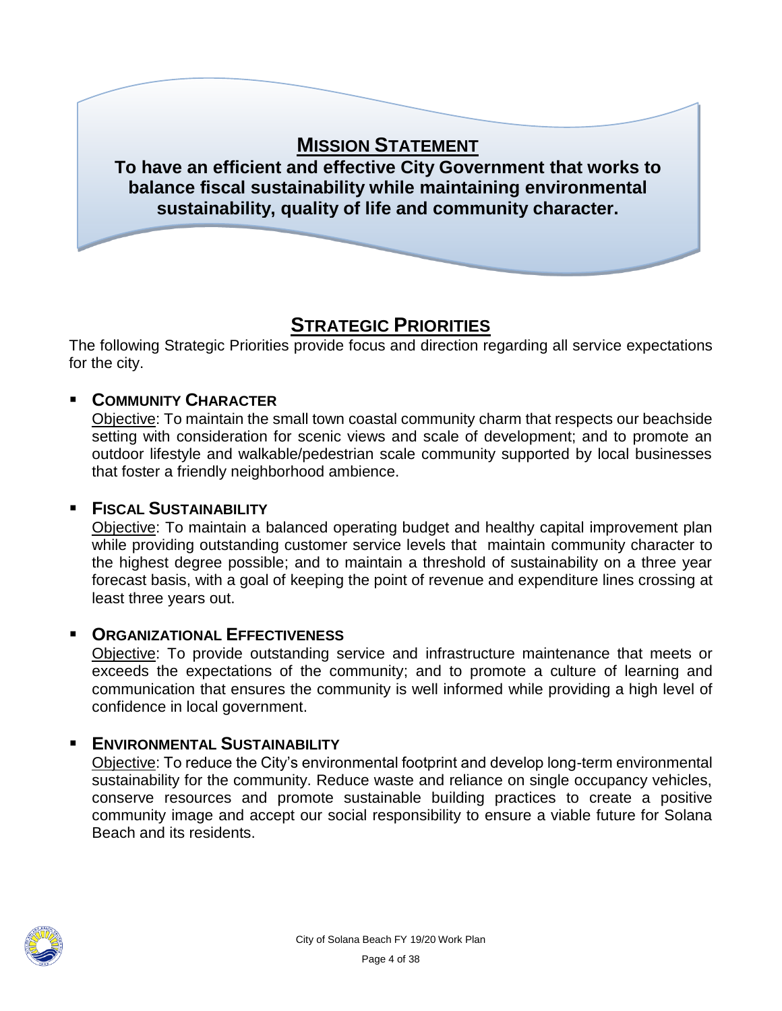

## **STRATEGIC PRIORITIES**

The following Strategic Priorities provide focus and direction regarding all service expectations for the city.

## **COMMUNITY CHARACTER**

Objective: To maintain the small town coastal community charm that respects our beachside setting with consideration for scenic views and scale of development; and to promote an outdoor lifestyle and walkable/pedestrian scale community supported by local businesses that foster a friendly neighborhood ambience.

#### **FISCAL SUSTAINABILITY**

Objective: To maintain a balanced operating budget and healthy capital improvement plan while providing outstanding customer service levels that maintain community character to the highest degree possible; and to maintain a threshold of sustainability on a three year forecast basis, with a goal of keeping the point of revenue and expenditure lines crossing at least three years out.

#### **ORGANIZATIONAL EFFECTIVENESS**

Objective: To provide outstanding service and infrastructure maintenance that meets or exceeds the expectations of the community; and to promote a culture of learning and communication that ensures the community is well informed while providing a high level of confidence in local government.

## **ENVIRONMENTAL SUSTAINABILITY**

Objective: To reduce the City's environmental footprint and develop long-term environmental sustainability for the community. Reduce waste and reliance on single occupancy vehicles, conserve resources and promote sustainable building practices to create a positive community image and accept our social responsibility to ensure a viable future for Solana Beach and its residents.

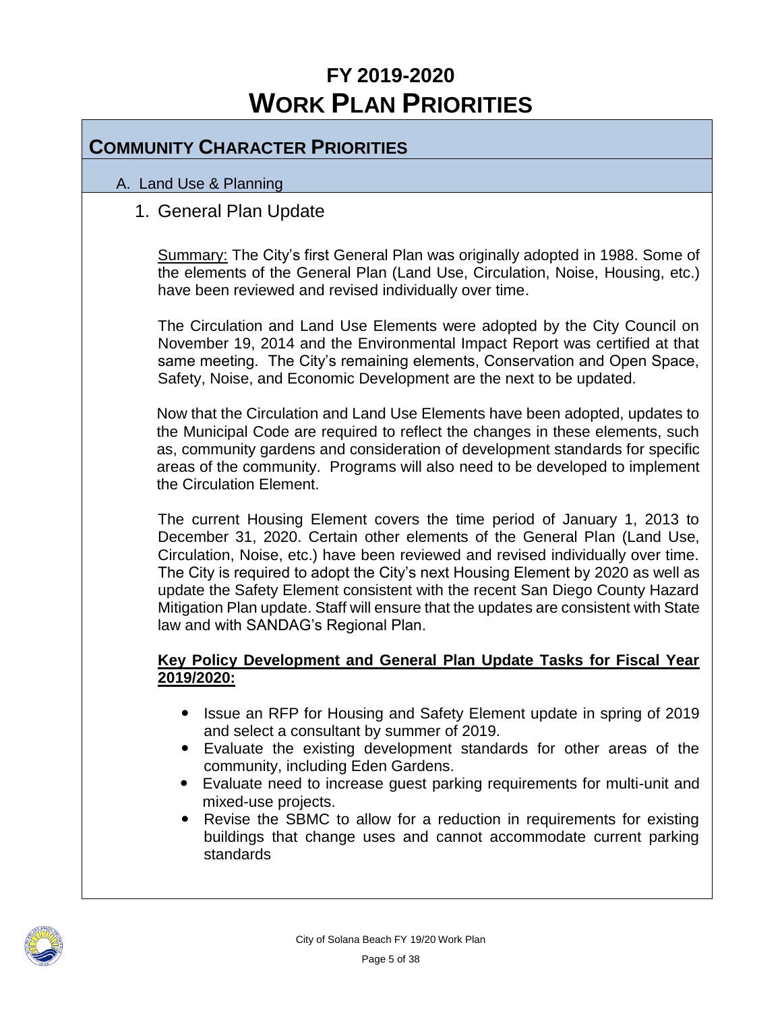## **FY 2019-2020 WORK PLAN PRIORITIES**

## **COMMUNITY CHARACTER PRIORITIES**

#### A. Land Use & Planning

## 1. General Plan Update

Summary: The City's first General Plan was originally adopted in 1988. Some of the elements of the General Plan (Land Use, Circulation, Noise, Housing, etc.) have been reviewed and revised individually over time.

The Circulation and Land Use Elements were adopted by the City Council on November 19, 2014 and the Environmental Impact Report was certified at that same meeting. The City's remaining elements, Conservation and Open Space, Safety, Noise, and Economic Development are the next to be updated.

Now that the Circulation and Land Use Elements have been adopted, updates to the Municipal Code are required to reflect the changes in these elements, such as, community gardens and consideration of development standards for specific areas of the community. Programs will also need to be developed to implement the Circulation Element.

The current Housing Element covers the time period of January 1, 2013 to December 31, 2020. Certain other elements of the General Plan (Land Use, Circulation, Noise, etc.) have been reviewed and revised individually over time. The City is required to adopt the City's next Housing Element by 2020 as well as update the Safety Element consistent with the recent San Diego County Hazard Mitigation Plan update. Staff will ensure that the updates are consistent with State law and with SANDAG's Regional Plan.

#### **Key Policy Development and General Plan Update Tasks for Fiscal Year 2019/2020:**

- Issue an RFP for Housing and Safety Element update in spring of 2019 and select a consultant by summer of 2019.
- Evaluate the existing development standards for other areas of the community, including Eden Gardens.
- Evaluate need to increase guest parking requirements for multi-unit and mixed-use projects.
- Revise the SBMC to allow for a reduction in requirements for existing buildings that change uses and cannot accommodate current parking standards

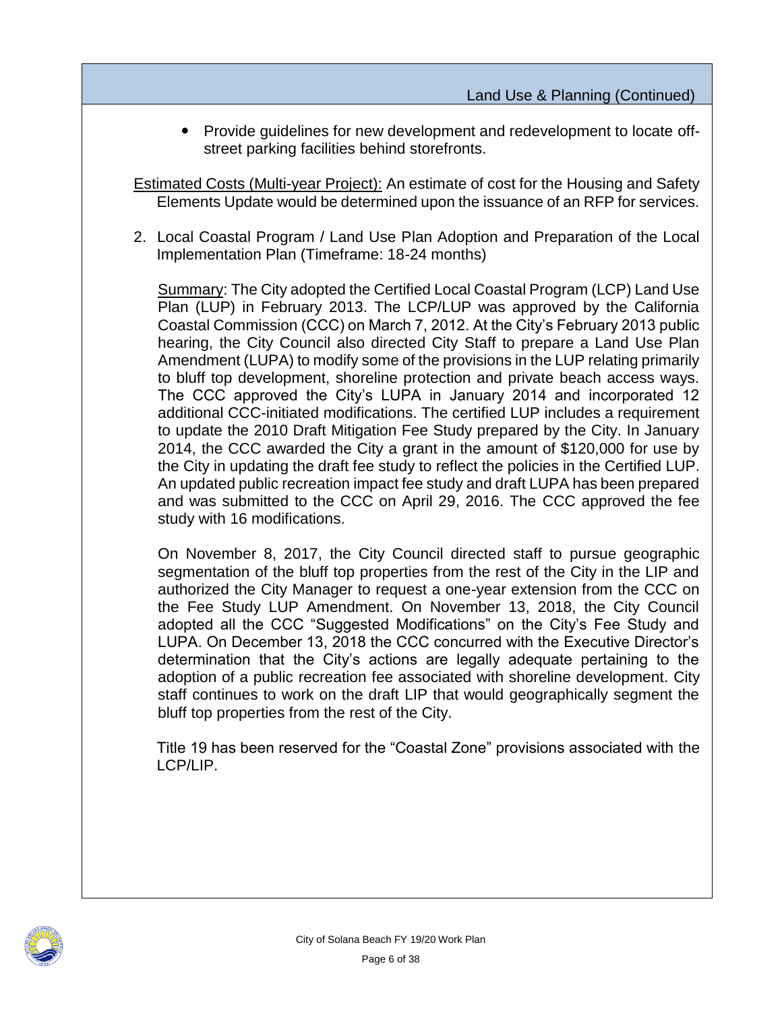Provide guidelines for new development and redevelopment to locate offstreet parking facilities behind storefronts.

Estimated Costs (Multi-year Project): An estimate of cost for the Housing and Safety Elements Update would be determined upon the issuance of an RFP for services.

2. Local Coastal Program / Land Use Plan Adoption and Preparation of the Local Implementation Plan (Timeframe: 18-24 months)

Summary: The City adopted the Certified Local Coastal Program (LCP) Land Use Plan (LUP) in February 2013. The LCP/LUP was approved by the California Coastal Commission (CCC) on March 7, 2012. At the City's February 2013 public hearing, the City Council also directed City Staff to prepare a Land Use Plan Amendment (LUPA) to modify some of the provisions in the LUP relating primarily to bluff top development, shoreline protection and private beach access ways. The CCC approved the City's LUPA in January 2014 and incorporated 12 additional CCC-initiated modifications. The certified LUP includes a requirement to update the 2010 Draft Mitigation Fee Study prepared by the City. In January 2014, the CCC awarded the City a grant in the amount of \$120,000 for use by the City in updating the draft fee study to reflect the policies in the Certified LUP. An updated public recreation impact fee study and draft LUPA has been prepared and was submitted to the CCC on April 29, 2016. The CCC approved the fee study with 16 modifications.

On November 8, 2017, the City Council directed staff to pursue geographic segmentation of the bluff top properties from the rest of the City in the LIP and authorized the City Manager to request a one-year extension from the CCC on the Fee Study LUP Amendment. On November 13, 2018, the City Council adopted all the CCC "Suggested Modifications" on the City's Fee Study and LUPA. On December 13, 2018 the CCC concurred with the Executive Director's determination that the City's actions are legally adequate pertaining to the adoption of a public recreation fee associated with shoreline development. City staff continues to work on the draft LIP that would geographically segment the bluff top properties from the rest of the City.

Title 19 has been reserved for the "Coastal Zone" provisions associated with the LCP/LIP.

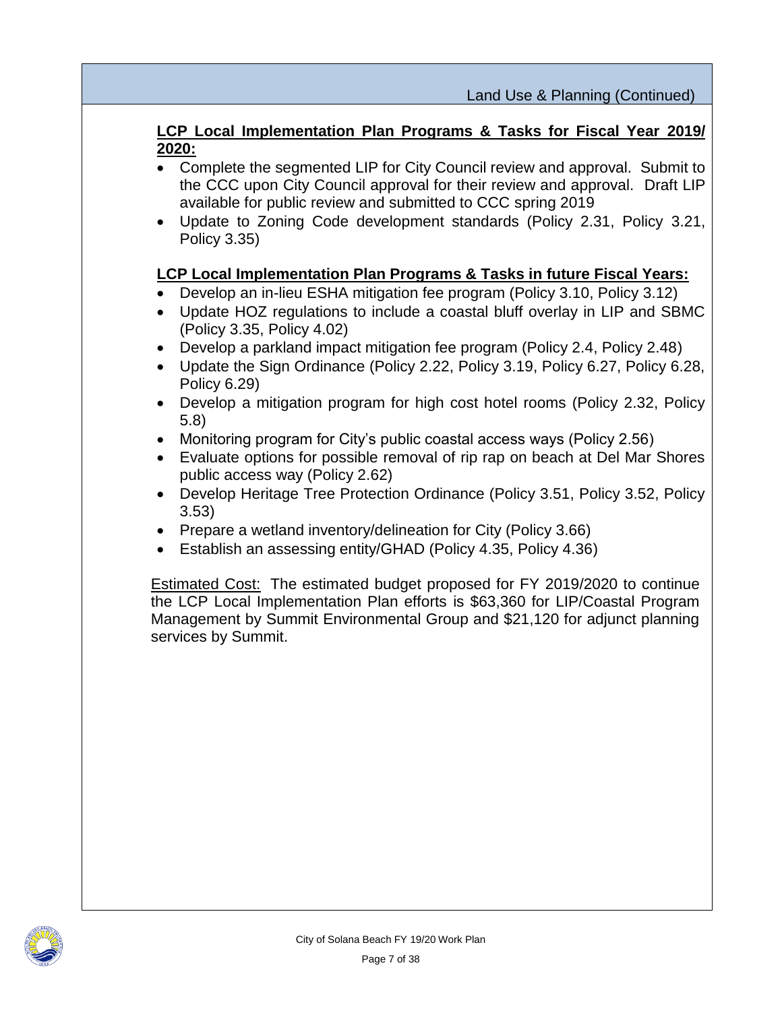#### **LCP Local Implementation Plan Programs & Tasks for Fiscal Year 2019/ 2020:**

- Complete the segmented LIP for City Council review and approval. Submit to the CCC upon City Council approval for their review and approval. Draft LIP available for public review and submitted to CCC spring 2019
- Update to Zoning Code development standards (Policy 2.31, Policy 3.21, Policy 3.35)

#### **LCP Local Implementation Plan Programs & Tasks in future Fiscal Years:**

- Develop an in-lieu ESHA mitigation fee program (Policy 3.10, Policy 3.12)
- Update HOZ regulations to include a coastal bluff overlay in LIP and SBMC (Policy 3.35, Policy 4.02)
- Develop a parkland impact mitigation fee program (Policy 2.4, Policy 2.48)
- Update the Sign Ordinance (Policy 2.22, Policy 3.19, Policy 6.27, Policy 6.28, Policy 6.29)
- Develop a mitigation program for high cost hotel rooms (Policy 2.32, Policy 5.8)
- Monitoring program for City's public coastal access ways (Policy 2.56)
- Evaluate options for possible removal of rip rap on beach at Del Mar Shores public access way (Policy 2.62)
- Develop Heritage Tree Protection Ordinance (Policy 3.51, Policy 3.52, Policy 3.53)
- Prepare a wetland inventory/delineation for City (Policy 3.66)
- Establish an assessing entity/GHAD (Policy 4.35, Policy 4.36)

Estimated Cost: The estimated budget proposed for FY 2019/2020 to continue the LCP Local Implementation Plan efforts is \$63,360 for LIP/Coastal Program Management by Summit Environmental Group and \$21,120 for adjunct planning services by Summit.

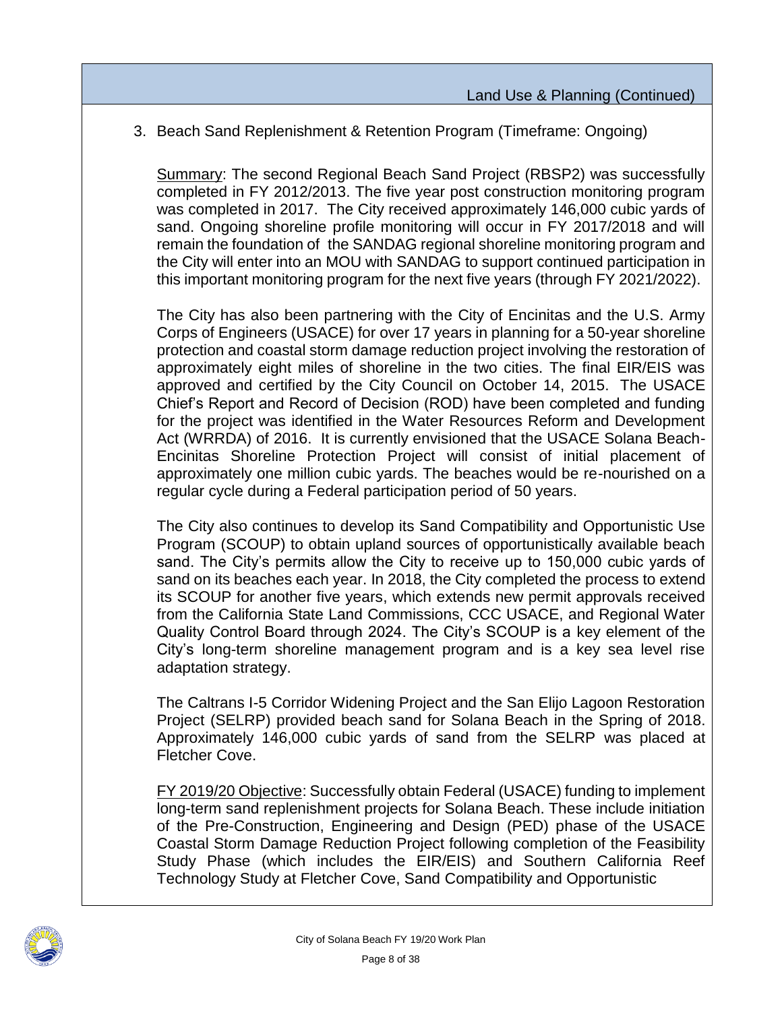3. Beach Sand Replenishment & Retention Program (Timeframe: Ongoing)

Summary: The second Regional Beach Sand Project (RBSP2) was successfully completed in FY 2012/2013. The five year post construction monitoring program was completed in 2017. The City received approximately 146,000 cubic yards of sand. Ongoing shoreline profile monitoring will occur in FY 2017/2018 and will remain the foundation of the SANDAG regional shoreline monitoring program and the City will enter into an MOU with SANDAG to support continued participation in this important monitoring program for the next five years (through FY 2021/2022).

The City has also been partnering with the City of Encinitas and the U.S. Army Corps of Engineers (USACE) for over 17 years in planning for a 50-year shoreline protection and coastal storm damage reduction project involving the restoration of approximately eight miles of shoreline in the two cities. The final EIR/EIS was approved and certified by the City Council on October 14, 2015. The USACE Chief's Report and Record of Decision (ROD) have been completed and funding for the project was identified in the Water Resources Reform and Development Act (WRRDA) of 2016. It is currently envisioned that the USACE Solana Beach-Encinitas Shoreline Protection Project will consist of initial placement of approximately one million cubic yards. The beaches would be re-nourished on a regular cycle during a Federal participation period of 50 years.

The City also continues to develop its Sand Compatibility and Opportunistic Use Program (SCOUP) to obtain upland sources of opportunistically available beach sand. The City's permits allow the City to receive up to 150,000 cubic yards of sand on its beaches each year. In 2018, the City completed the process to extend its SCOUP for another five years, which extends new permit approvals received from the California State Land Commissions, CCC USACE, and Regional Water Quality Control Board through 2024. The City's SCOUP is a key element of the City's long-term shoreline management program and is a key sea level rise adaptation strategy.

The Caltrans I-5 Corridor Widening Project and the San Elijo Lagoon Restoration Project (SELRP) provided beach sand for Solana Beach in the Spring of 2018. Approximately 146,000 cubic yards of sand from the SELRP was placed at Fletcher Cove.

FY 2019/20 Objective: Successfully obtain Federal (USACE) funding to implement long-term sand replenishment projects for Solana Beach. These include initiation of the Pre-Construction, Engineering and Design (PED) phase of the USACE Coastal Storm Damage Reduction Project following completion of the Feasibility Study Phase (which includes the EIR/EIS) and Southern California Reef Technology Study at Fletcher Cove, Sand Compatibility and Opportunistic

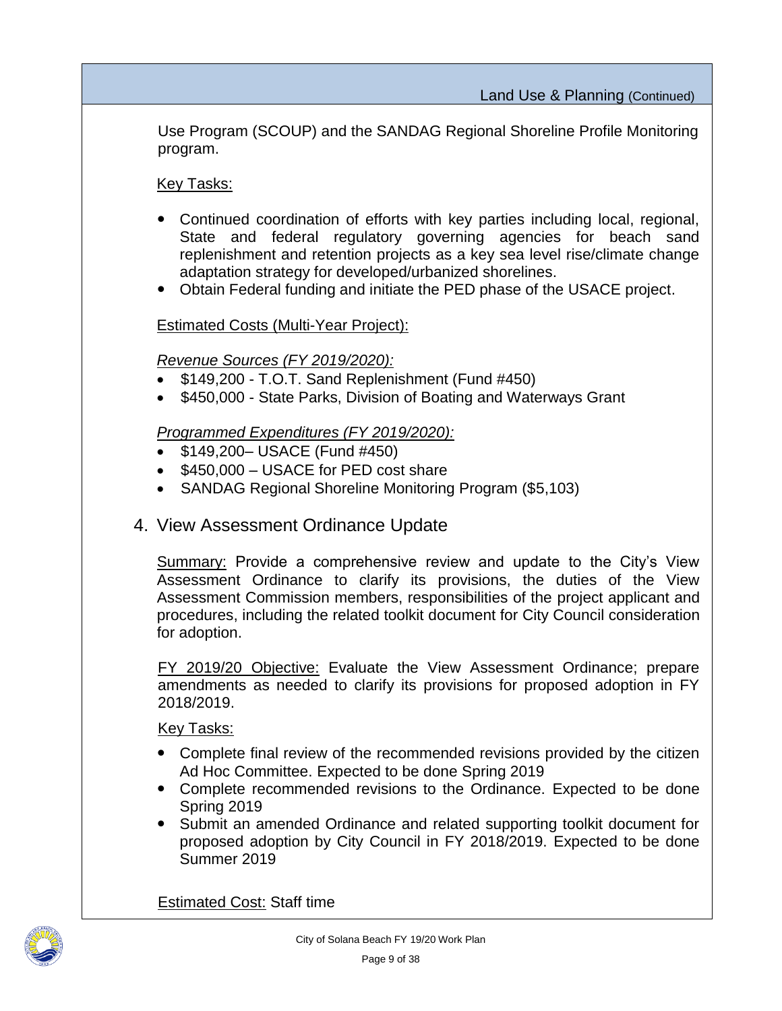Use Program (SCOUP) and the SANDAG Regional Shoreline Profile Monitoring program.

Key Tasks:

- Continued coordination of efforts with key parties including local, regional, State and federal regulatory governing agencies for beach sand replenishment and retention projects as a key sea level rise/climate change adaptation strategy for developed/urbanized shorelines.
- Obtain Federal funding and initiate the PED phase of the USACE project.

Estimated Costs (Multi-Year Project):

#### *Revenue Sources (FY 2019/2020):*

- \$149,200 T.O.T. Sand Replenishment (Fund #450)
- \$450,000 State Parks, Division of Boating and Waterways Grant

#### *Programmed Expenditures (FY 2019/2020):*

- \$149,200– USACE (Fund #450)
- $\bullet$  \$450,000 USACE for PED cost share
- SANDAG Regional Shoreline Monitoring Program (\$5,103)

## 4. View Assessment Ordinance Update

Summary: Provide a comprehensive review and update to the City's View Assessment Ordinance to clarify its provisions, the duties of the View Assessment Commission members, responsibilities of the project applicant and procedures, including the related toolkit document for City Council consideration for adoption.

FY 2019/20 Objective: Evaluate the View Assessment Ordinance; prepare amendments as needed to clarify its provisions for proposed adoption in FY 2018/2019.

Key Tasks:

- Complete final review of the recommended revisions provided by the citizen Ad Hoc Committee. Expected to be done Spring 2019
- Complete recommended revisions to the Ordinance. Expected to be done Spring 2019
- Submit an amended Ordinance and related supporting toolkit document for proposed adoption by City Council in FY 2018/2019. Expected to be done Summer 2019

**Estimated Cost: Staff time** 

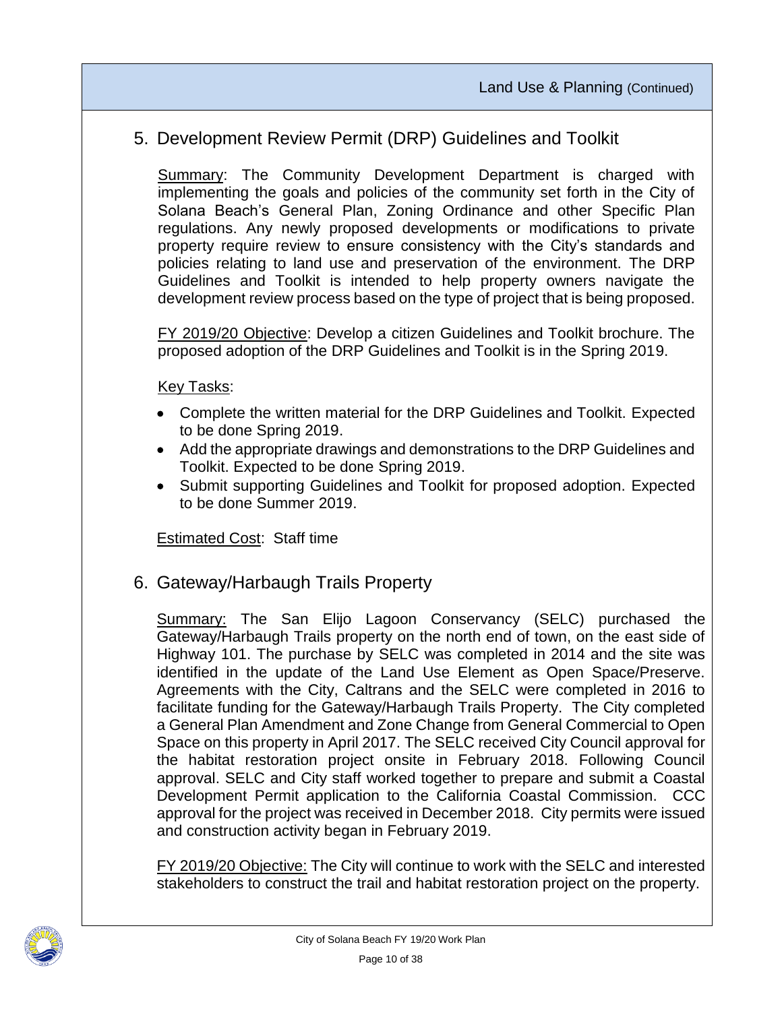## 5. Development Review Permit (DRP) Guidelines and Toolkit

**Summary:** The Community Development Department is charged with implementing the goals and policies of the community set forth in the City of Solana Beach's General Plan, Zoning Ordinance and other Specific Plan regulations. Any newly proposed developments or modifications to private property require review to ensure consistency with the City's standards and policies relating to land use and preservation of the environment. The DRP Guidelines and Toolkit is intended to help property owners navigate the development review process based on the type of project that is being proposed.

FY 2019/20 Objective: Develop a citizen Guidelines and Toolkit brochure. The proposed adoption of the DRP Guidelines and Toolkit is in the Spring 2019.

Key Tasks:

- Complete the written material for the DRP Guidelines and Toolkit. Expected to be done Spring 2019.
- Add the appropriate drawings and demonstrations to the DRP Guidelines and Toolkit. Expected to be done Spring 2019.
- Submit supporting Guidelines and Toolkit for proposed adoption. Expected to be done Summer 2019.

**Estimated Cost: Staff time** 

6. Gateway/Harbaugh Trails Property

Summary: The San Elijo Lagoon Conservancy (SELC) purchased the Gateway/Harbaugh Trails property on the north end of town, on the east side of Highway 101. The purchase by SELC was completed in 2014 and the site was identified in the update of the Land Use Element as Open Space/Preserve. Agreements with the City, Caltrans and the SELC were completed in 2016 to facilitate funding for the Gateway/Harbaugh Trails Property. The City completed a General Plan Amendment and Zone Change from General Commercial to Open Space on this property in April 2017. The SELC received City Council approval for the habitat restoration project onsite in February 2018. Following Council approval. SELC and City staff worked together to prepare and submit a Coastal Development Permit application to the California Coastal Commission. CCC approval for the project was received in December 2018. City permits were issued and construction activity began in February 2019.

FY 2019/20 Objective: The City will continue to work with the SELC and interested stakeholders to construct the trail and habitat restoration project on the property.

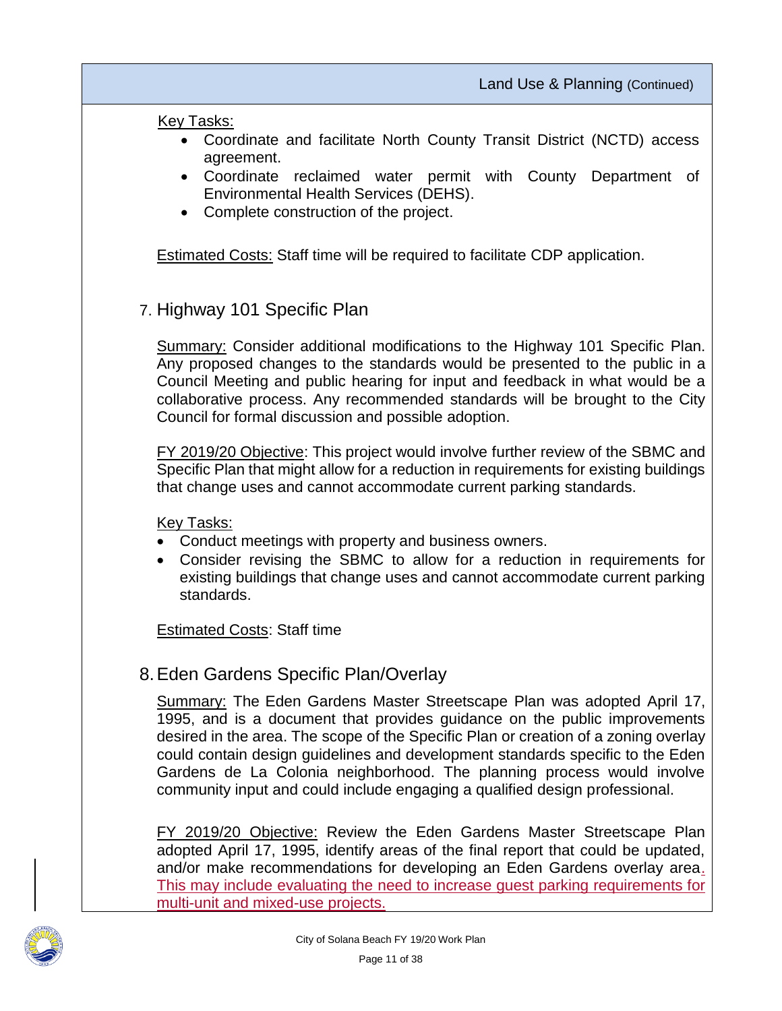Key Tasks:

- Coordinate and facilitate North County Transit District (NCTD) access agreement.
- Coordinate reclaimed water permit with County Department of Environmental Health Services (DEHS).
- Complete construction of the project.

Estimated Costs: Staff time will be required to facilitate CDP application.

7. Highway 101 Specific Plan

Summary: Consider additional modifications to the Highway 101 Specific Plan. Any proposed changes to the standards would be presented to the public in a Council Meeting and public hearing for input and feedback in what would be a collaborative process. Any recommended standards will be brought to the City Council for formal discussion and possible adoption.

FY 2019/20 Objective: This project would involve further review of the SBMC and Specific Plan that might allow for a reduction in requirements for existing buildings that change uses and cannot accommodate current parking standards.

Key Tasks:

- Conduct meetings with property and business owners.
- Consider revising the SBMC to allow for a reduction in requirements for existing buildings that change uses and cannot accommodate current parking standards.

**Estimated Costs: Staff time** 

8.Eden Gardens Specific Plan/Overlay

Summary: The Eden Gardens Master Streetscape Plan was adopted April 17, 1995, and is a document that provides guidance on the public improvements desired in the area. The scope of the Specific Plan or creation of a zoning overlay could contain design guidelines and development standards specific to the Eden Gardens de La Colonia neighborhood. The planning process would involve community input and could include engaging a qualified design professional.

FY 2019/20 Objective: Review the Eden Gardens Master Streetscape Plan adopted April 17, 1995, identify areas of the final report that could be updated, and/or make recommendations for developing an Eden Gardens overlay area. This may include evaluating the need to increase guest parking requirements for multi-unit and mixed-use projects.

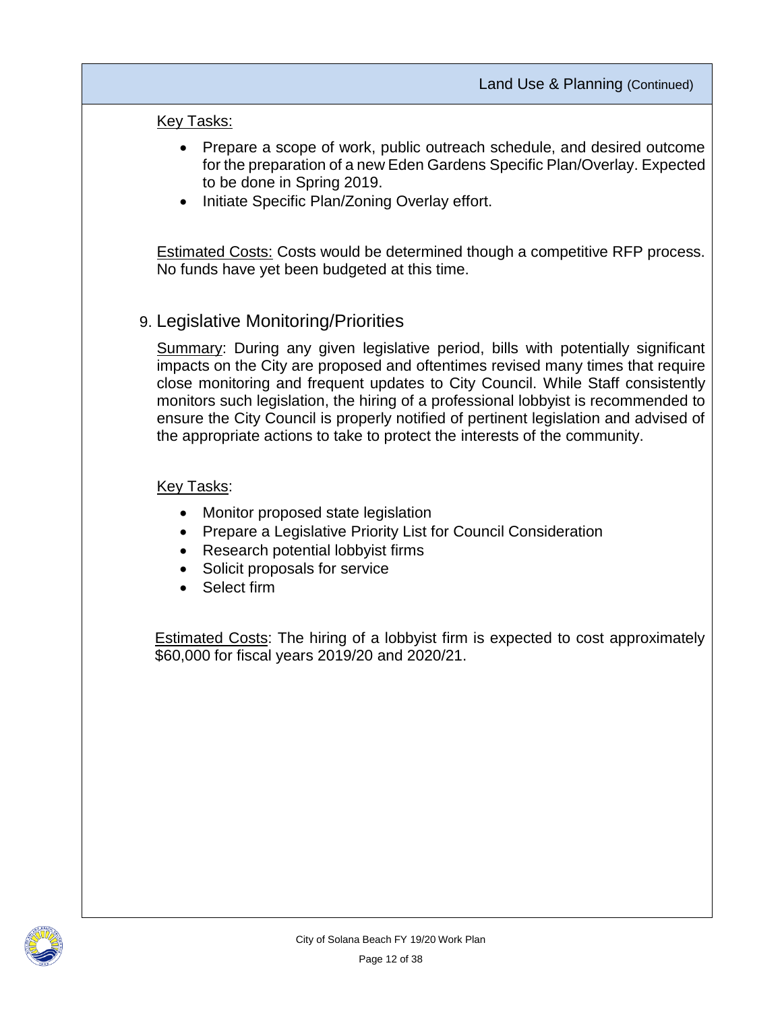#### Key Tasks:

- Prepare a scope of work, public outreach schedule, and desired outcome for the preparation of a new Eden Gardens Specific Plan/Overlay. Expected to be done in Spring 2019.
- Initiate Specific Plan/Zoning Overlay effort.

Estimated Costs: Costs would be determined though a competitive RFP process. No funds have yet been budgeted at this time.

## 9. Legislative Monitoring/Priorities

Summary: During any given legislative period, bills with potentially significant impacts on the City are proposed and oftentimes revised many times that require close monitoring and frequent updates to City Council. While Staff consistently monitors such legislation, the hiring of a professional lobbyist is recommended to ensure the City Council is properly notified of pertinent legislation and advised of the appropriate actions to take to protect the interests of the community.

#### Key Tasks:

- Monitor proposed state legislation
- Prepare a Legislative Priority List for Council Consideration
- Research potential lobbyist firms
- Solicit proposals for service
- Select firm

**Estimated Costs:** The hiring of a lobbyist firm is expected to cost approximately \$60,000 for fiscal years 2019/20 and 2020/21.

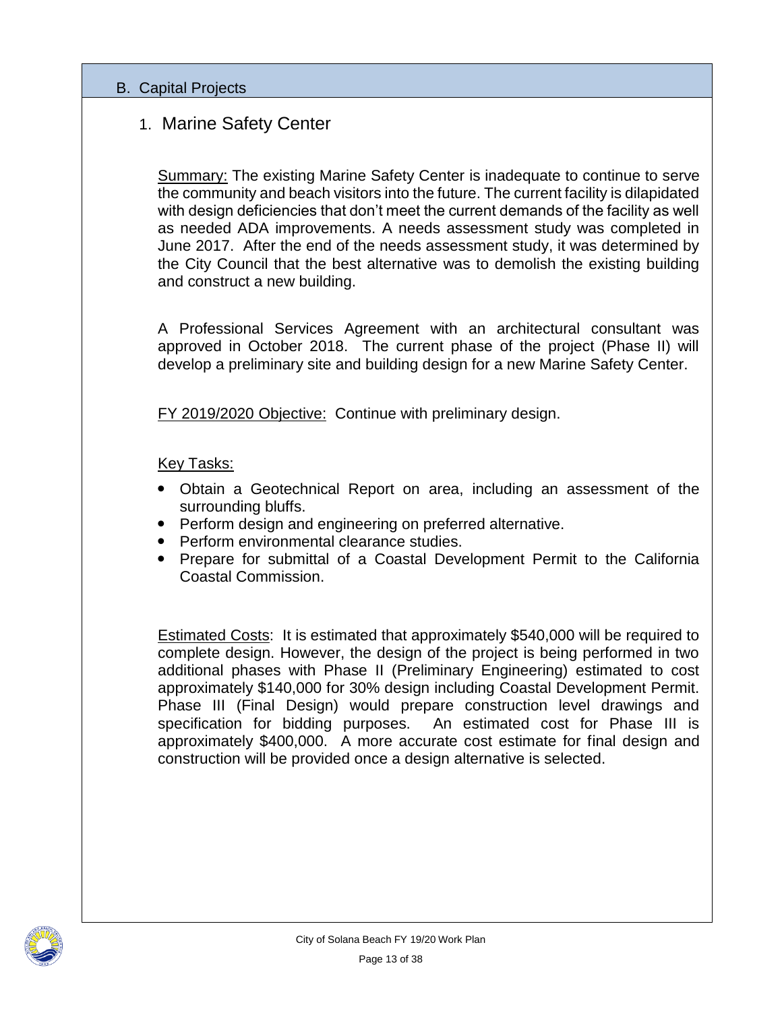#### B. Capital Projects

## 1. Marine Safety Center

Summary: The existing Marine Safety Center is inadequate to continue to serve the community and beach visitors into the future. The current facility is dilapidated with design deficiencies that don't meet the current demands of the facility as well as needed ADA improvements. A needs assessment study was completed in June 2017. After the end of the needs assessment study, it was determined by the City Council that the best alternative was to demolish the existing building and construct a new building.

A Professional Services Agreement with an architectural consultant was approved in October 2018. The current phase of the project (Phase II) will develop a preliminary site and building design for a new Marine Safety Center.

FY 2019/2020 Objective: Continue with preliminary design.

Key Tasks:

- Obtain a Geotechnical Report on area, including an assessment of the surrounding bluffs.
- Perform design and engineering on preferred alternative.
- Perform environmental clearance studies.
- Prepare for submittal of a Coastal Development Permit to the California Coastal Commission.

Estimated Costs: It is estimated that approximately \$540,000 will be required to complete design. However, the design of the project is being performed in two additional phases with Phase II (Preliminary Engineering) estimated to cost approximately \$140,000 for 30% design including Coastal Development Permit. Phase III (Final Design) would prepare construction level drawings and specification for bidding purposes. An estimated cost for Phase III is approximately \$400,000. A more accurate cost estimate for final design and construction will be provided once a design alternative is selected.

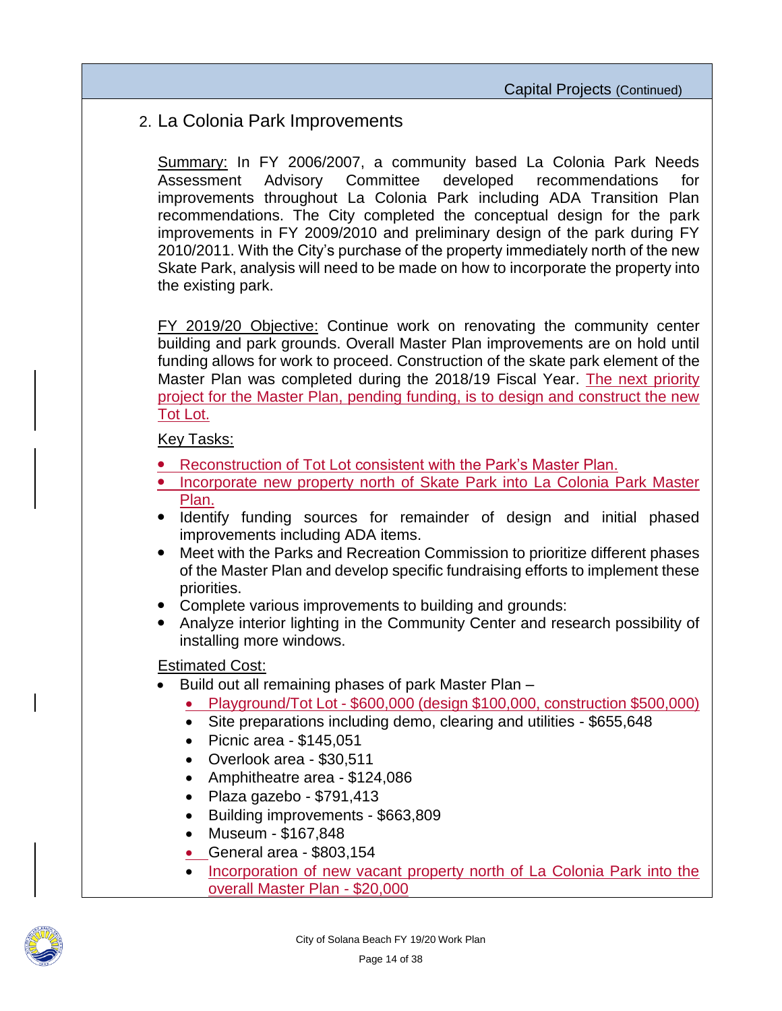## 2. La Colonia Park Improvements

Summary: In FY 2006/2007, a community based La Colonia Park Needs Assessment Advisory Committee developed recommendations for improvements throughout La Colonia Park including ADA Transition Plan recommendations. The City completed the conceptual design for the park improvements in FY 2009/2010 and preliminary design of the park during FY 2010/2011. With the City's purchase of the property immediately north of the new Skate Park, analysis will need to be made on how to incorporate the property into the existing park.

FY 2019/20 Objective: Continue work on renovating the community center building and park grounds. Overall Master Plan improvements are on hold until funding allows for work to proceed. Construction of the skate park element of the Master Plan was completed during the 2018/19 Fiscal Year. The next priority project for the Master Plan, pending funding, is to design and construct the new Tot Lot.

Key Tasks:

- Reconstruction of Tot Lot consistent with the Park's Master Plan.
- Incorporate new property north of Skate Park into La Colonia Park Master Plan.
- Identify funding sources for remainder of design and initial phased improvements including ADA items.
- Meet with the Parks and Recreation Commission to prioritize different phases of the Master Plan and develop specific fundraising efforts to implement these priorities.
- Complete various improvements to building and grounds:
- Analyze interior lighting in the Community Center and research possibility of installing more windows.

#### Estimated Cost:

- Build out all remaining phases of park Master Plan
	- Playground/Tot Lot \$600,000 (design \$100,000, construction \$500,000)
	- Site preparations including demo, clearing and utilities \$655,648
	- $\bullet$  Picnic area \$145,051
	- Overlook area \$30,511
	- Amphitheatre area \$124,086
	- $\bullet$  Plaza gazebo \$791,413
	- Building improvements \$663,809
	- Museum \$167,848
	- General area \$803,154
	- Incorporation of new vacant property north of La Colonia Park into the overall Master Plan - \$20,000

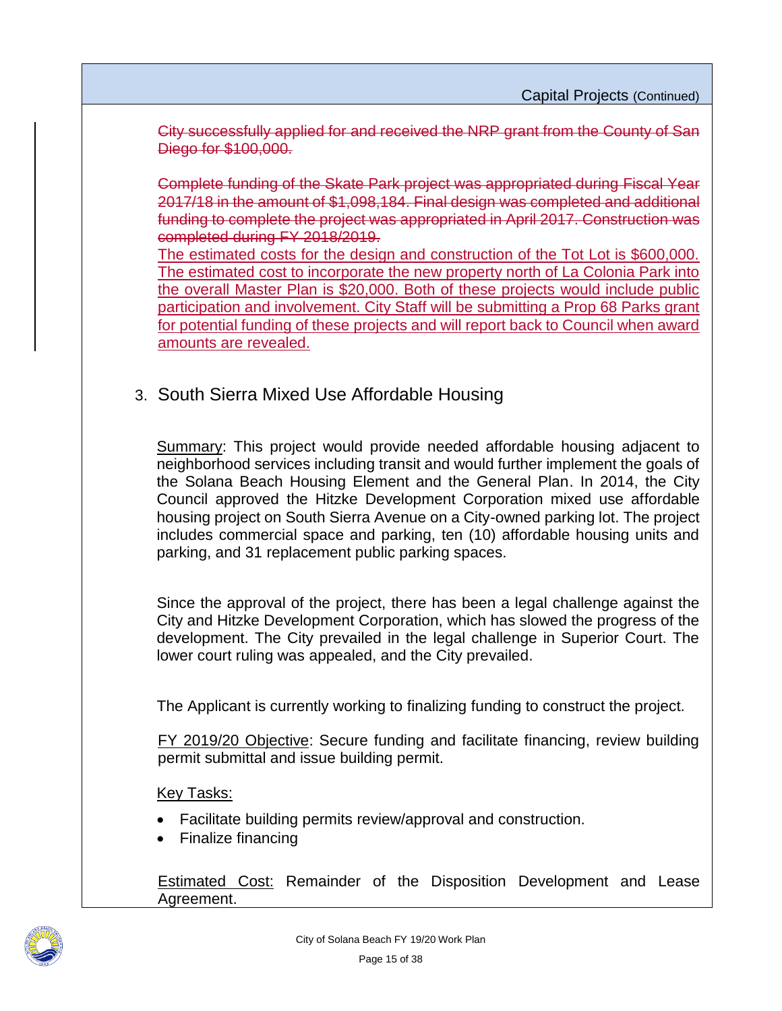City successfully applied for and received the NRP grant from the County of San Diego for \$100,000.

Complete funding of the Skate Park project was appropriated during Fiscal Year 2017/18 in the amount of \$1,098,184. Final design was completed and additional funding to complete the project was appropriated in April 2017. Construction was completed during FY 2018/2019.

The estimated costs for the design and construction of the Tot Lot is \$600,000. The estimated cost to incorporate the new property north of La Colonia Park into the overall Master Plan is \$20,000. Both of these projects would include public participation and involvement. City Staff will be submitting a Prop 68 Parks grant for potential funding of these projects and will report back to Council when award amounts are revealed.

3. South Sierra Mixed Use Affordable Housing

Summary: This project would provide needed affordable housing adjacent to neighborhood services including transit and would further implement the goals of the Solana Beach Housing Element and the General Plan. In 2014, the City Council approved the Hitzke Development Corporation mixed use affordable housing project on South Sierra Avenue on a City-owned parking lot. The project includes commercial space and parking, ten (10) affordable housing units and parking, and 31 replacement public parking spaces.

Since the approval of the project, there has been a legal challenge against the City and Hitzke Development Corporation, which has slowed the progress of the development. The City prevailed in the legal challenge in Superior Court. The lower court ruling was appealed, and the City prevailed.

The Applicant is currently working to finalizing funding to construct the project.

FY 2019/20 Objective: Secure funding and facilitate financing, review building permit submittal and issue building permit.

#### Key Tasks:

- Facilitate building permits review/approval and construction.
- Finalize financing

Estimated Cost: Remainder of the Disposition Development and Lease Agreement.

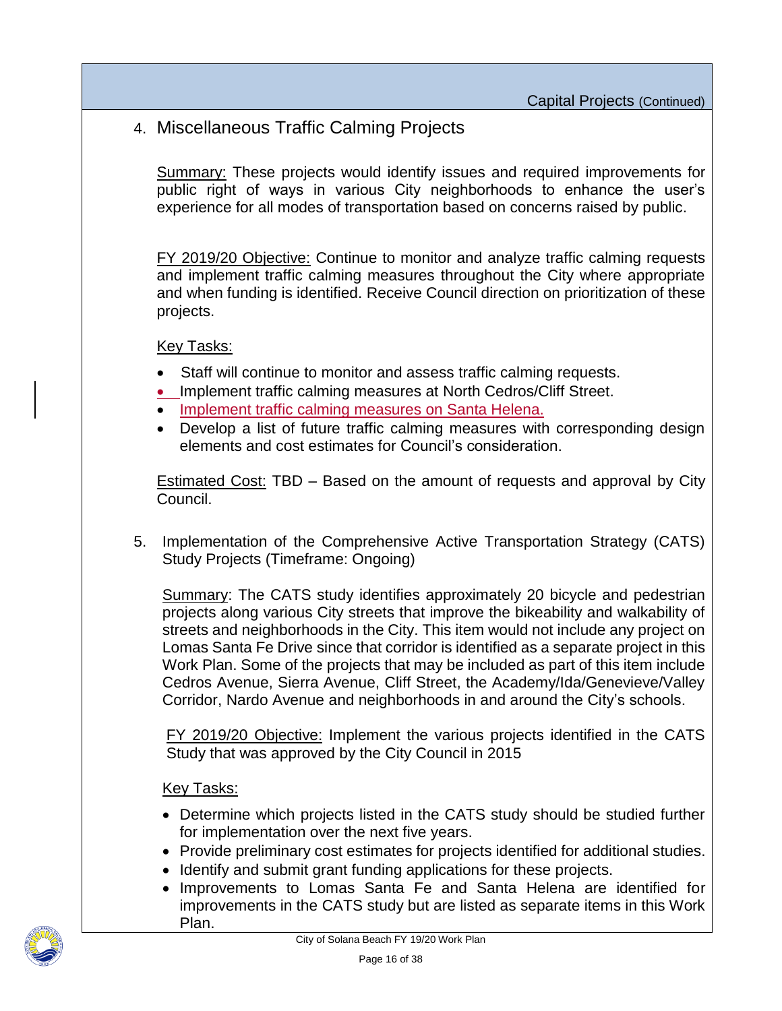4. Miscellaneous Traffic Calming Projects

Summary: These projects would identify issues and required improvements for public right of ways in various City neighborhoods to enhance the user's experience for all modes of transportation based on concerns raised by public.

FY 2019/20 Objective: Continue to monitor and analyze traffic calming requests and implement traffic calming measures throughout the City where appropriate and when funding is identified. Receive Council direction on prioritization of these projects.

Key Tasks:

- Staff will continue to monitor and assess traffic calming requests.
- Implement traffic calming measures at North Cedros/Cliff Street.
- Implement traffic calming measures on Santa Helena.
- Develop a list of future traffic calming measures with corresponding design elements and cost estimates for Council's consideration.

Estimated Cost: TBD – Based on the amount of requests and approval by City Council.

5. Implementation of the Comprehensive Active Transportation Strategy (CATS) Study Projects (Timeframe: Ongoing)

Summary: The CATS study identifies approximately 20 bicycle and pedestrian projects along various City streets that improve the bikeability and walkability of streets and neighborhoods in the City. This item would not include any project on Lomas Santa Fe Drive since that corridor is identified as a separate project in this Work Plan. Some of the projects that may be included as part of this item include Cedros Avenue, Sierra Avenue, Cliff Street, the Academy/Ida/Genevieve/Valley Corridor, Nardo Avenue and neighborhoods in and around the City's schools.

FY 2019/20 Objective: Implement the various projects identified in the CATS Study that was approved by the City Council in 2015

- Determine which projects listed in the CATS study should be studied further for implementation over the next five years.
- Provide preliminary cost estimates for projects identified for additional studies.
- Identify and submit grant funding applications for these projects.
- Improvements to Lomas Santa Fe and Santa Helena are identified for improvements in the CATS study but are listed as separate items in this Work Plan.

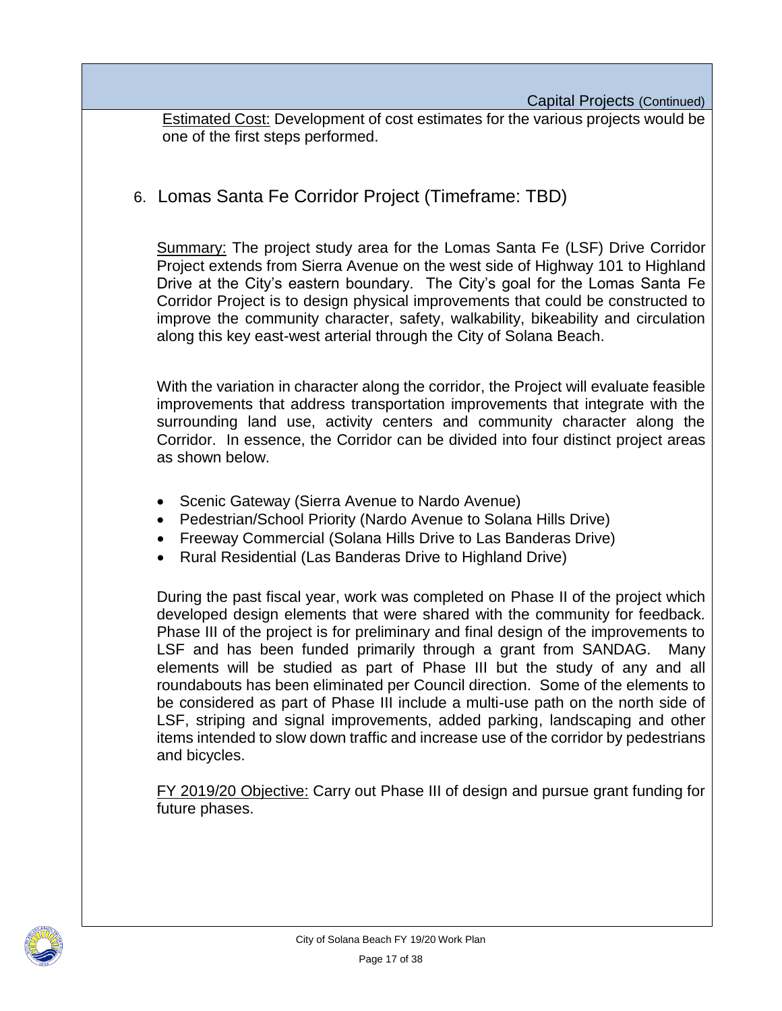Estimated Cost: Development of cost estimates for the various projects would be one of the first steps performed.

6. Lomas Santa Fe Corridor Project (Timeframe: TBD)

Summary: The project study area for the Lomas Santa Fe (LSF) Drive Corridor Project extends from Sierra Avenue on the west side of Highway 101 to Highland Drive at the City's eastern boundary. The City's goal for the Lomas Santa Fe Corridor Project is to design physical improvements that could be constructed to improve the community character, safety, walkability, bikeability and circulation along this key east-west arterial through the City of Solana Beach.

With the variation in character along the corridor, the Project will evaluate feasible improvements that address transportation improvements that integrate with the surrounding land use, activity centers and community character along the Corridor. In essence, the Corridor can be divided into four distinct project areas as shown below.

- Scenic Gateway (Sierra Avenue to Nardo Avenue)
- Pedestrian/School Priority (Nardo Avenue to Solana Hills Drive)
- Freeway Commercial (Solana Hills Drive to Las Banderas Drive)
- Rural Residential (Las Banderas Drive to Highland Drive)

During the past fiscal year, work was completed on Phase II of the project which developed design elements that were shared with the community for feedback. Phase III of the project is for preliminary and final design of the improvements to LSF and has been funded primarily through a grant from SANDAG. Many elements will be studied as part of Phase III but the study of any and all roundabouts has been eliminated per Council direction. Some of the elements to be considered as part of Phase III include a multi-use path on the north side of LSF, striping and signal improvements, added parking, landscaping and other items intended to slow down traffic and increase use of the corridor by pedestrians and bicycles.

FY 2019/20 Objective: Carry out Phase III of design and pursue grant funding for future phases.

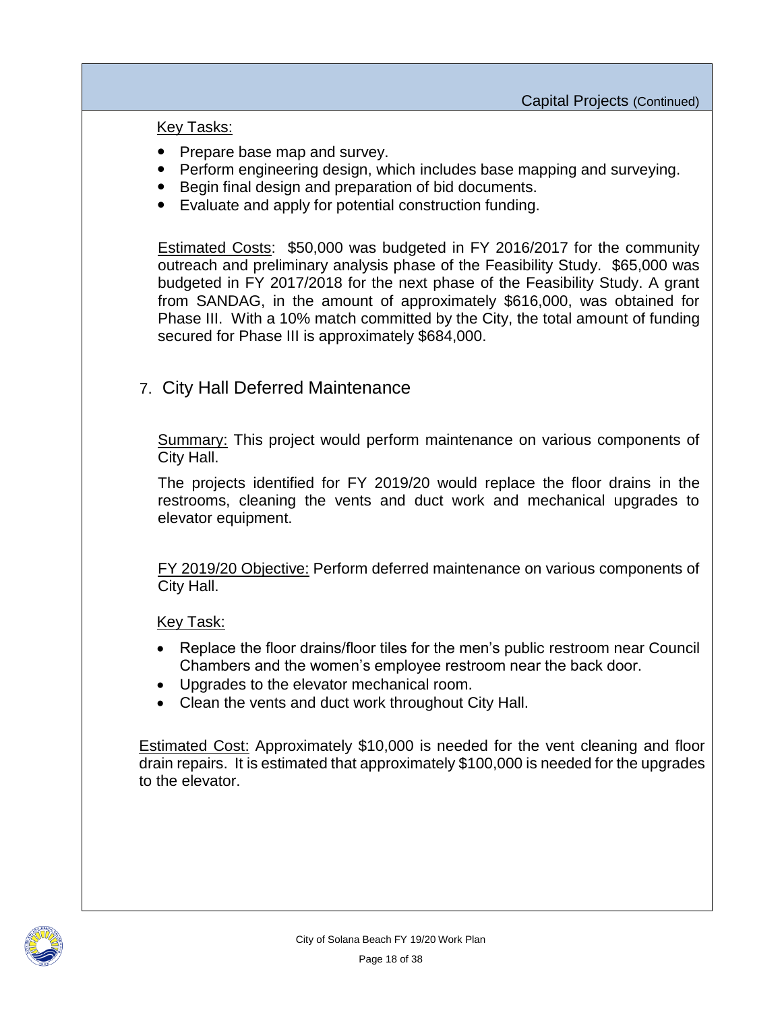Key Tasks:

- Prepare base map and survey.
- Perform engineering design, which includes base mapping and surveying.
- Begin final design and preparation of bid documents.
- Evaluate and apply for potential construction funding.

Estimated Costs: \$50,000 was budgeted in FY 2016/2017 for the community outreach and preliminary analysis phase of the Feasibility Study. \$65,000 was budgeted in FY 2017/2018 for the next phase of the Feasibility Study. A grant from SANDAG, in the amount of approximately \$616,000, was obtained for Phase III. With a 10% match committed by the City, the total amount of funding secured for Phase III is approximately \$684,000.

## 7. City Hall Deferred Maintenance

Summary: This project would perform maintenance on various components of City Hall.

The projects identified for FY 2019/20 would replace the floor drains in the restrooms, cleaning the vents and duct work and mechanical upgrades to elevator equipment.

FY 2019/20 Objective: Perform deferred maintenance on various components of City Hall.

Key Task:

- Replace the floor drains/floor tiles for the men's public restroom near Council Chambers and the women's employee restroom near the back door.
- Upgrades to the elevator mechanical room.
- Clean the vents and duct work throughout City Hall.

Estimated Cost: Approximately \$10,000 is needed for the vent cleaning and floor drain repairs. It is estimated that approximately \$100,000 is needed for the upgrades to the elevator.

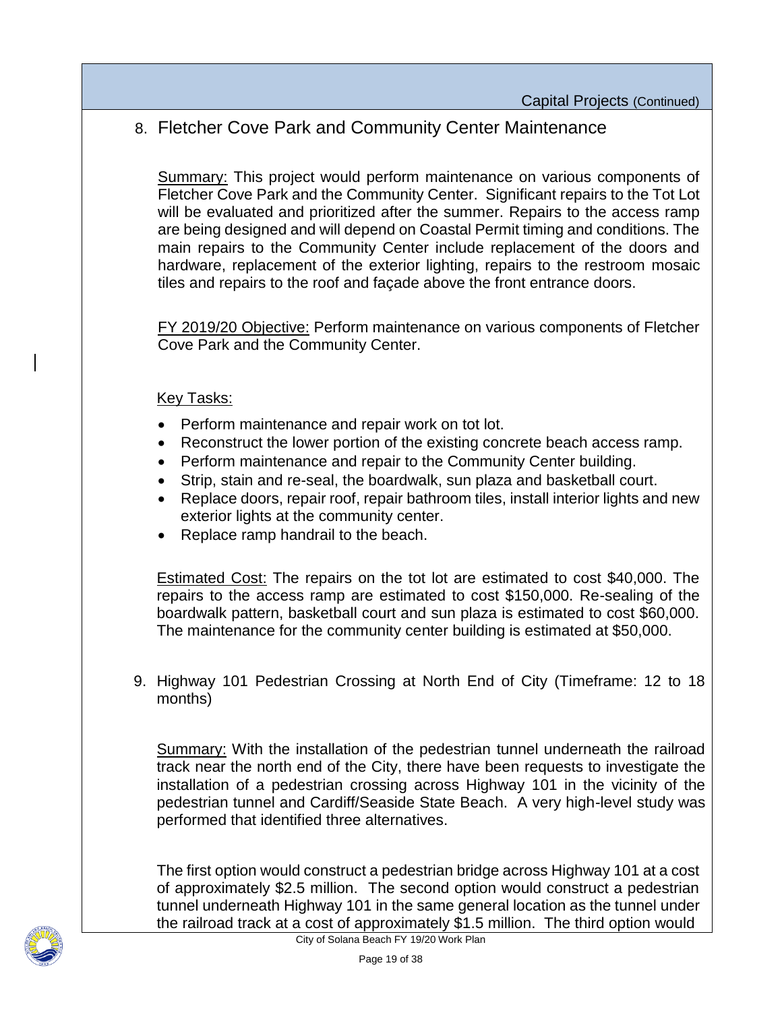## 8. Fletcher Cove Park and Community Center Maintenance

Summary: This project would perform maintenance on various components of Fletcher Cove Park and the Community Center. Significant repairs to the Tot Lot will be evaluated and prioritized after the summer. Repairs to the access ramp are being designed and will depend on Coastal Permit timing and conditions. The main repairs to the Community Center include replacement of the doors and hardware, replacement of the exterior lighting, repairs to the restroom mosaic tiles and repairs to the roof and façade above the front entrance doors.

FY 2019/20 Objective: Perform maintenance on various components of Fletcher Cove Park and the Community Center.

#### Key Tasks:

- Perform maintenance and repair work on tot lot.
- Reconstruct the lower portion of the existing concrete beach access ramp.
- Perform maintenance and repair to the Community Center building.
- Strip, stain and re-seal, the boardwalk, sun plaza and basketball court.
- Replace doors, repair roof, repair bathroom tiles, install interior lights and new exterior lights at the community center.
- Replace ramp handrail to the beach.

Estimated Cost: The repairs on the tot lot are estimated to cost \$40,000. The repairs to the access ramp are estimated to cost \$150,000. Re-sealing of the boardwalk pattern, basketball court and sun plaza is estimated to cost \$60,000. The maintenance for the community center building is estimated at \$50,000.

9. Highway 101 Pedestrian Crossing at North End of City (Timeframe: 12 to 18 months)

Summary: With the installation of the pedestrian tunnel underneath the railroad track near the north end of the City, there have been requests to investigate the installation of a pedestrian crossing across Highway 101 in the vicinity of the pedestrian tunnel and Cardiff/Seaside State Beach. A very high-level study was performed that identified three alternatives.

The first option would construct a pedestrian bridge across Highway 101 at a cost of approximately \$2.5 million. The second option would construct a pedestrian tunnel underneath Highway 101 in the same general location as the tunnel under the railroad track at a cost of approximately \$1.5 million. The third option would

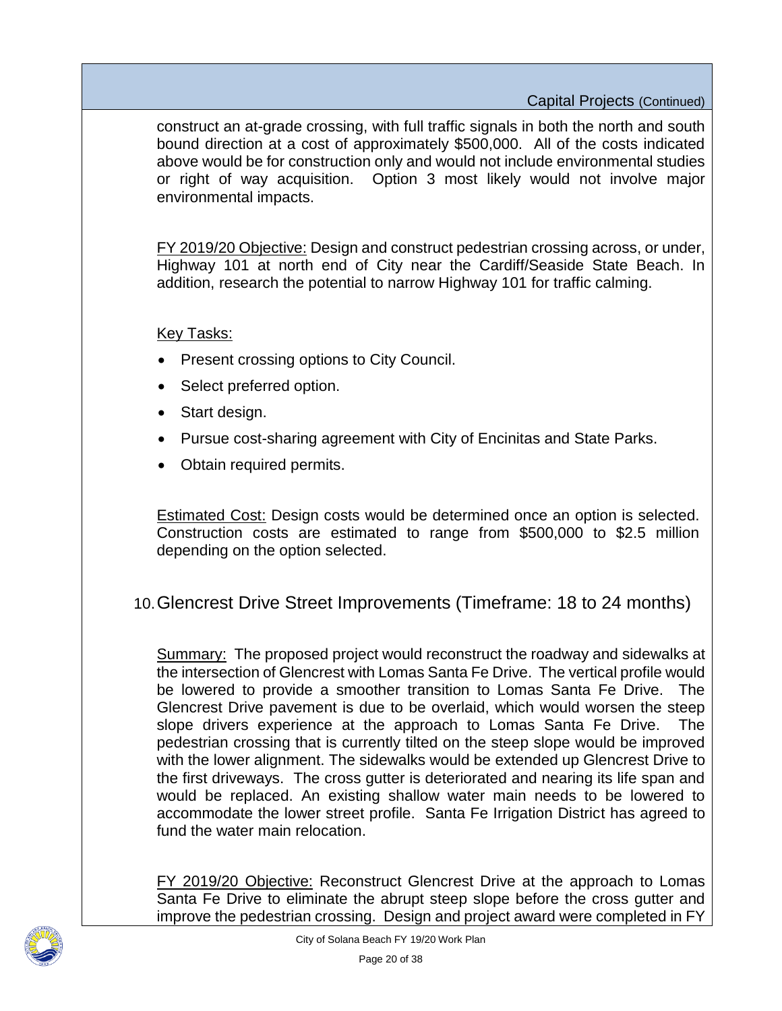construct an at-grade crossing, with full traffic signals in both the north and south bound direction at a cost of approximately \$500,000. All of the costs indicated above would be for construction only and would not include environmental studies or right of way acquisition. Option 3 most likely would not involve major environmental impacts.

FY 2019/20 Objective: Design and construct pedestrian crossing across, or under, Highway 101 at north end of City near the Cardiff/Seaside State Beach. In addition, research the potential to narrow Highway 101 for traffic calming.

#### Key Tasks:

- Present crossing options to City Council.
- Select preferred option.
- Start design.
- Pursue cost-sharing agreement with City of Encinitas and State Parks.
- Obtain required permits.

Estimated Cost: Design costs would be determined once an option is selected. Construction costs are estimated to range from \$500,000 to \$2.5 million depending on the option selected.

## 10.Glencrest Drive Street Improvements (Timeframe: 18 to 24 months)

Summary: The proposed project would reconstruct the roadway and sidewalks at the intersection of Glencrest with Lomas Santa Fe Drive. The vertical profile would be lowered to provide a smoother transition to Lomas Santa Fe Drive. The Glencrest Drive pavement is due to be overlaid, which would worsen the steep slope drivers experience at the approach to Lomas Santa Fe Drive. The pedestrian crossing that is currently tilted on the steep slope would be improved with the lower alignment. The sidewalks would be extended up Glencrest Drive to the first driveways. The cross gutter is deteriorated and nearing its life span and would be replaced. An existing shallow water main needs to be lowered to accommodate the lower street profile. Santa Fe Irrigation District has agreed to fund the water main relocation.

FY 2019/20 Objective: Reconstruct Glencrest Drive at the approach to Lomas Santa Fe Drive to eliminate the abrupt steep slope before the cross gutter and improve the pedestrian crossing. Design and project award were completed in FY

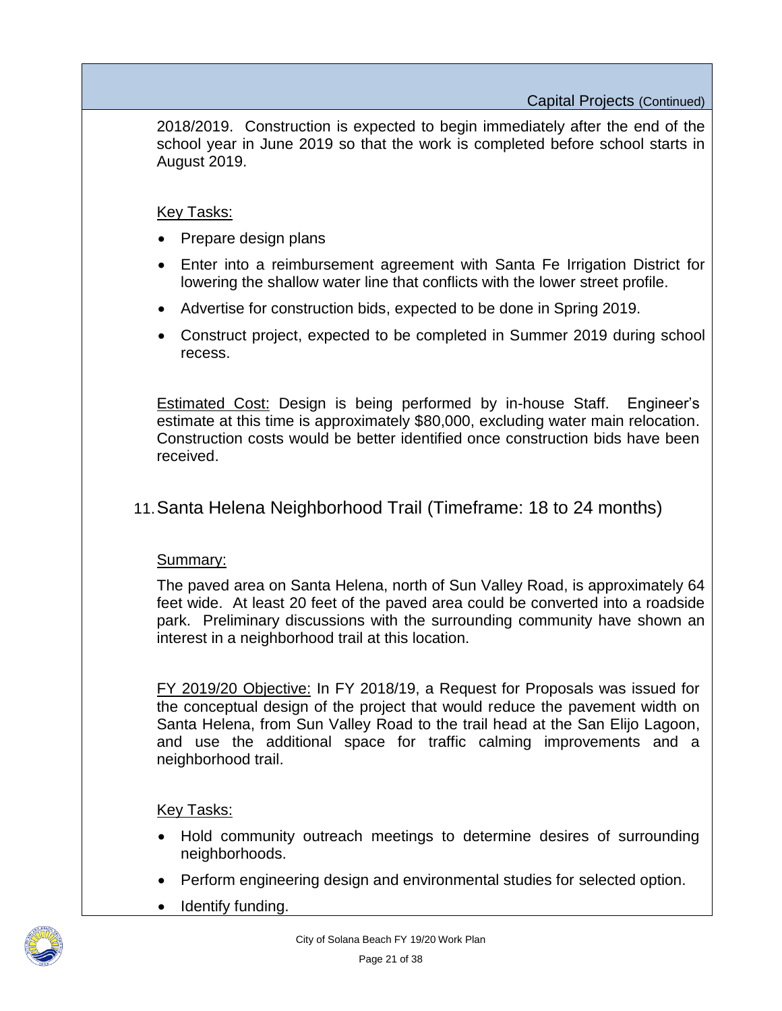2018/2019. Construction is expected to begin immediately after the end of the school year in June 2019 so that the work is completed before school starts in August 2019.

#### Key Tasks:

- Prepare design plans
- Enter into a reimbursement agreement with Santa Fe Irrigation District for lowering the shallow water line that conflicts with the lower street profile.
- Advertise for construction bids, expected to be done in Spring 2019.
- Construct project, expected to be completed in Summer 2019 during school recess.

Estimated Cost: Design is being performed by in-house Staff. Engineer's estimate at this time is approximately \$80,000, excluding water main relocation. Construction costs would be better identified once construction bids have been received.

### 11.Santa Helena Neighborhood Trail (Timeframe: 18 to 24 months)

#### Summary:

The paved area on Santa Helena, north of Sun Valley Road, is approximately 64 feet wide. At least 20 feet of the paved area could be converted into a roadside park. Preliminary discussions with the surrounding community have shown an interest in a neighborhood trail at this location.

FY 2019/20 Objective: In FY 2018/19, a Request for Proposals was issued for the conceptual design of the project that would reduce the pavement width on Santa Helena, from Sun Valley Road to the trail head at the San Elijo Lagoon, and use the additional space for traffic calming improvements and a neighborhood trail.

- Hold community outreach meetings to determine desires of surrounding neighborhoods.
- Perform engineering design and environmental studies for selected option.
- Identify funding.

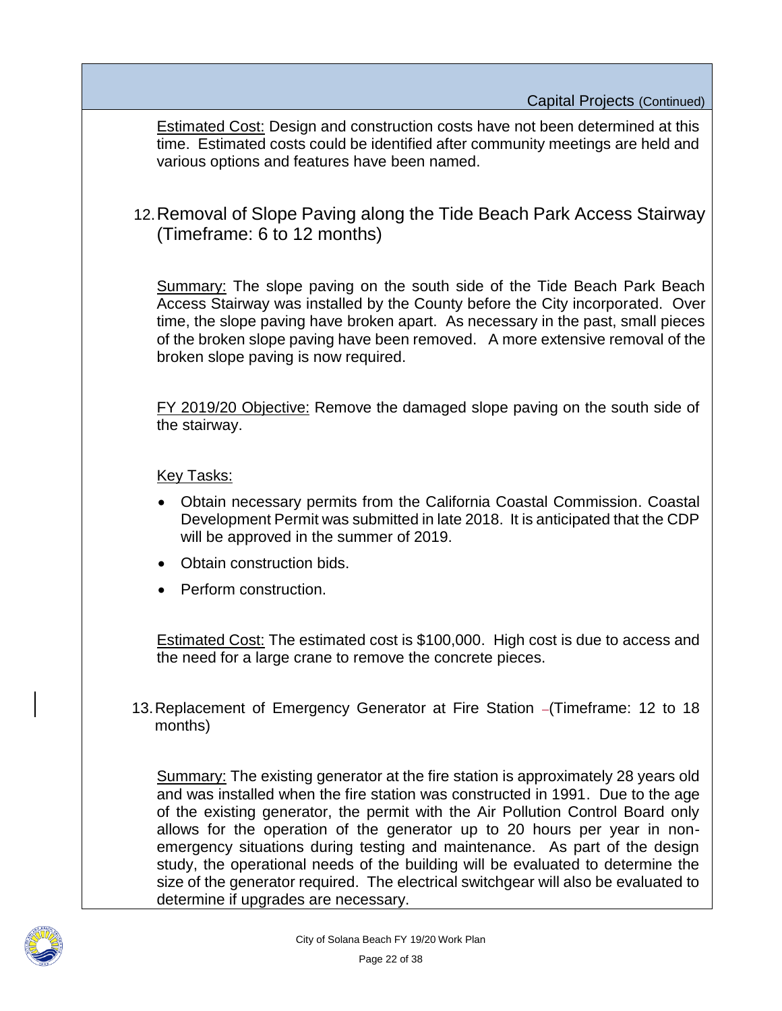Estimated Cost: Design and construction costs have not been determined at this time. Estimated costs could be identified after community meetings are held and various options and features have been named.

## 12.Removal of Slope Paving along the Tide Beach Park Access Stairway (Timeframe: 6 to 12 months)

Summary: The slope paving on the south side of the Tide Beach Park Beach Access Stairway was installed by the County before the City incorporated. Over time, the slope paving have broken apart. As necessary in the past, small pieces of the broken slope paving have been removed. A more extensive removal of the broken slope paving is now required.

FY 2019/20 Objective: Remove the damaged slope paving on the south side of the stairway.

#### Key Tasks:

- Obtain necessary permits from the California Coastal Commission. Coastal Development Permit was submitted in late 2018. It is anticipated that the CDP will be approved in the summer of 2019.
- Obtain construction bids.
- Perform construction.

Estimated Cost: The estimated cost is \$100,000. High cost is due to access and the need for a large crane to remove the concrete pieces.

13. Replacement of Emergency Generator at Fire Station - (Timeframe: 12 to 18 months)

Summary: The existing generator at the fire station is approximately 28 years old and was installed when the fire station was constructed in 1991. Due to the age of the existing generator, the permit with the Air Pollution Control Board only allows for the operation of the generator up to 20 hours per year in nonemergency situations during testing and maintenance. As part of the design study, the operational needs of the building will be evaluated to determine the size of the generator required. The electrical switchgear will also be evaluated to determine if upgrades are necessary.

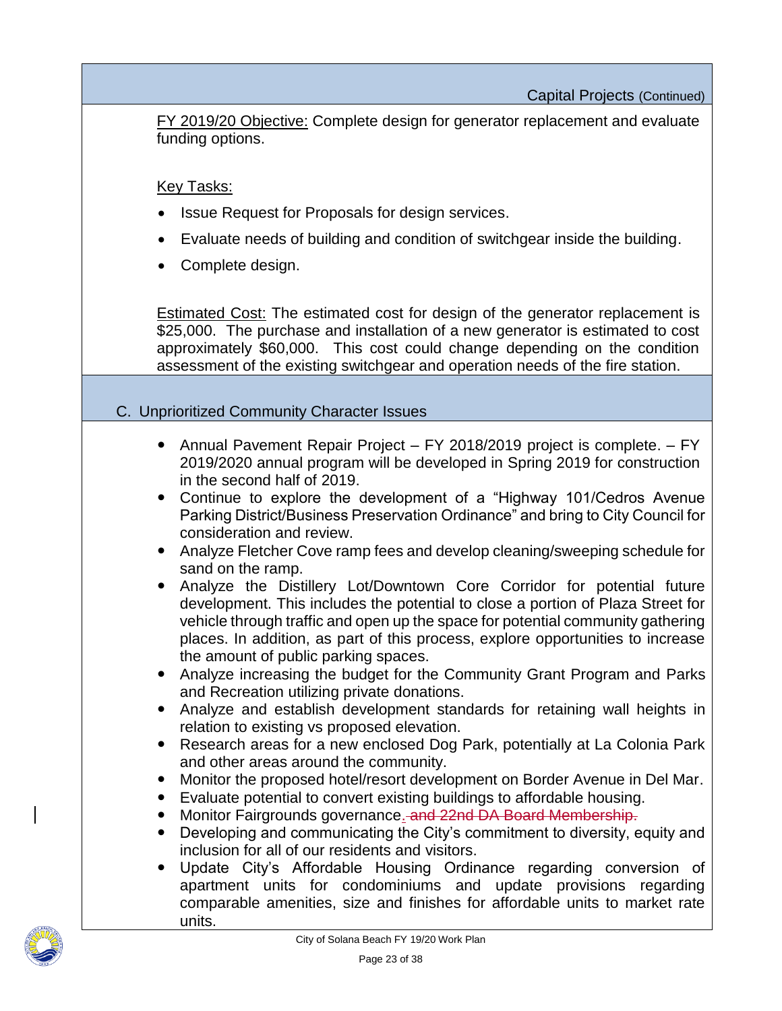Capital Projects (Continued)

FY 2019/20 Objective: Complete design for generator replacement and evaluate funding options.

Key Tasks:

- Issue Request for Proposals for design services.
- Evaluate needs of building and condition of switchgear inside the building.
- Complete design.

**Estimated Cost:** The estimated cost for design of the generator replacement is \$25,000. The purchase and installation of a new generator is estimated to cost approximately \$60,000. This cost could change depending on the condition assessment of the existing switchgear and operation needs of the fire station.

#### C. Unprioritized Community Character Issues

- Annual Pavement Repair Project FY 2018/2019 project is complete. FY 2019/2020 annual program will be developed in Spring 2019 for construction in the second half of 2019.
- Continue to explore the development of a "Highway 101/Cedros Avenue Parking District/Business Preservation Ordinance" and bring to City Council for consideration and review.
- Analyze Fletcher Cove ramp fees and develop cleaning/sweeping schedule for sand on the ramp.
- Analyze the Distillery Lot/Downtown Core Corridor for potential future development. This includes the potential to close a portion of Plaza Street for vehicle through traffic and open up the space for potential community gathering places. In addition, as part of this process, explore opportunities to increase the amount of public parking spaces.
- Analyze increasing the budget for the Community Grant Program and Parks and Recreation utilizing private donations.
- Analyze and establish development standards for retaining wall heights in relation to existing vs proposed elevation.
- Research areas for a new enclosed Dog Park, potentially at La Colonia Park and other areas around the community.
- Monitor the proposed hotel/resort development on Border Avenue in Del Mar.
- Evaluate potential to convert existing buildings to affordable housing.
- Monitor Fairgrounds governance. and 22nd DA Board Membership.
- Developing and communicating the City's commitment to diversity, equity and inclusion for all of our residents and visitors.
- Update City's Affordable Housing Ordinance regarding conversion of apartment units for condominiums and update provisions regarding comparable amenities, size and finishes for affordable units to market rate units.

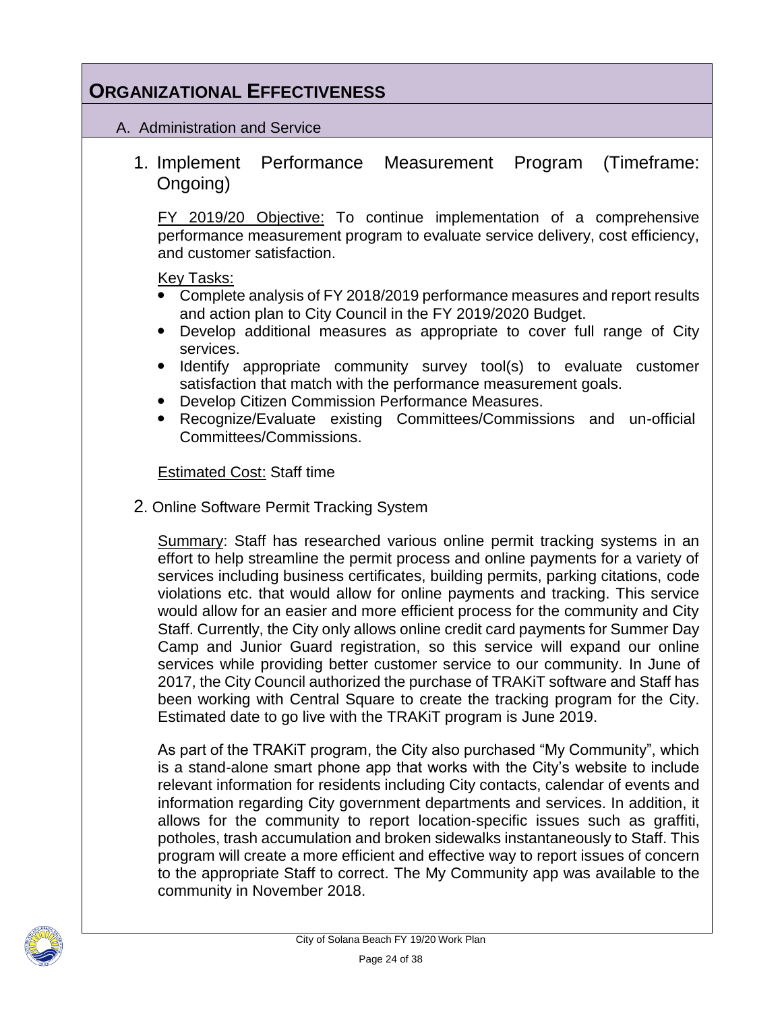## **ORGANIZATIONAL EFFECTIVENESS**

#### A. Administration and Service

1. Implement Performance Measurement Program (Timeframe: Ongoing)

FY 2019/20 Objective: To continue implementation of a comprehensive performance measurement program to evaluate service delivery, cost efficiency, and customer satisfaction.

Key Tasks:

- Complete analysis of FY 2018/2019 performance measures and report results and action plan to City Council in the FY 2019/2020 Budget.
- Develop additional measures as appropriate to cover full range of City services.
- Identify appropriate community survey tool(s) to evaluate customer satisfaction that match with the performance measurement goals.
- Develop Citizen Commission Performance Measures.
- Recognize/Evaluate existing Committees/Commissions and un-official Committees/Commissions.

Estimated Cost: Staff time

2. Online Software Permit Tracking System

Summary: Staff has researched various online permit tracking systems in an effort to help streamline the permit process and online payments for a variety of services including business certificates, building permits, parking citations, code violations etc. that would allow for online payments and tracking. This service would allow for an easier and more efficient process for the community and City Staff. Currently, the City only allows online credit card payments for Summer Day Camp and Junior Guard registration, so this service will expand our online services while providing better customer service to our community. In June of 2017, the City Council authorized the purchase of TRAKiT software and Staff has been working with Central Square to create the tracking program for the City. Estimated date to go live with the TRAKiT program is June 2019.

As part of the TRAKiT program, the City also purchased "My Community", which is a stand-alone smart phone app that works with the City's website to include relevant information for residents including City contacts, calendar of events and information regarding City government departments and services. In addition, it allows for the community to report location-specific issues such as graffiti, potholes, trash accumulation and broken sidewalks instantaneously to Staff. This program will create a more efficient and effective way to report issues of concern to the appropriate Staff to correct. The My Community app was available to the community in November 2018.

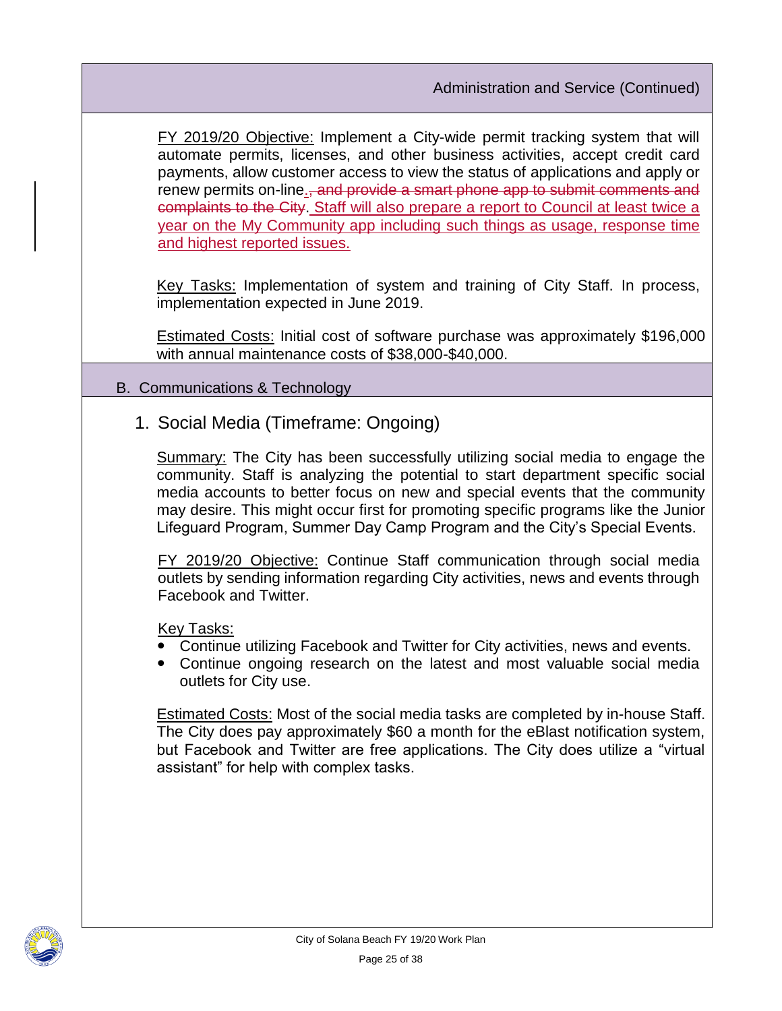FY 2019/20 Objective: Implement a City-wide permit tracking system that will automate permits, licenses, and other business activities, accept credit card payments, allow customer access to view the status of applications and apply or renew permits on-line.<del>, and provide a smart phone app to submit comments and</del> complaints to the City. Staff will also prepare a report to Council at least twice a year on the My Community app including such things as usage, response time and highest reported issues.

Key Tasks: Implementation of system and training of City Staff. In process, implementation expected in June 2019.

Estimated Costs: Initial cost of software purchase was approximately \$196,000 with annual maintenance costs of \$38,000-\$40,000.

### B. Communications & Technology

1. Social Media (Timeframe: Ongoing)

Summary: The City has been successfully utilizing social media to engage the community. Staff is analyzing the potential to start department specific social media accounts to better focus on new and special events that the community may desire. This might occur first for promoting specific programs like the Junior Lifeguard Program, Summer Day Camp Program and the City's Special Events.

FY 2019/20 Objective: Continue Staff communication through social media outlets by sending information regarding City activities, news and events through Facebook and Twitter.

Key Tasks:

- Continue utilizing Facebook and Twitter for City activities, news and events.
- Continue ongoing research on the latest and most valuable social media outlets for City use.

**Estimated Costs: Most of the social media tasks are completed by in-house Staff.** The City does pay approximately \$60 a month for the eBlast notification system, but Facebook and Twitter are free applications. The City does utilize a "virtual assistant" for help with complex tasks.

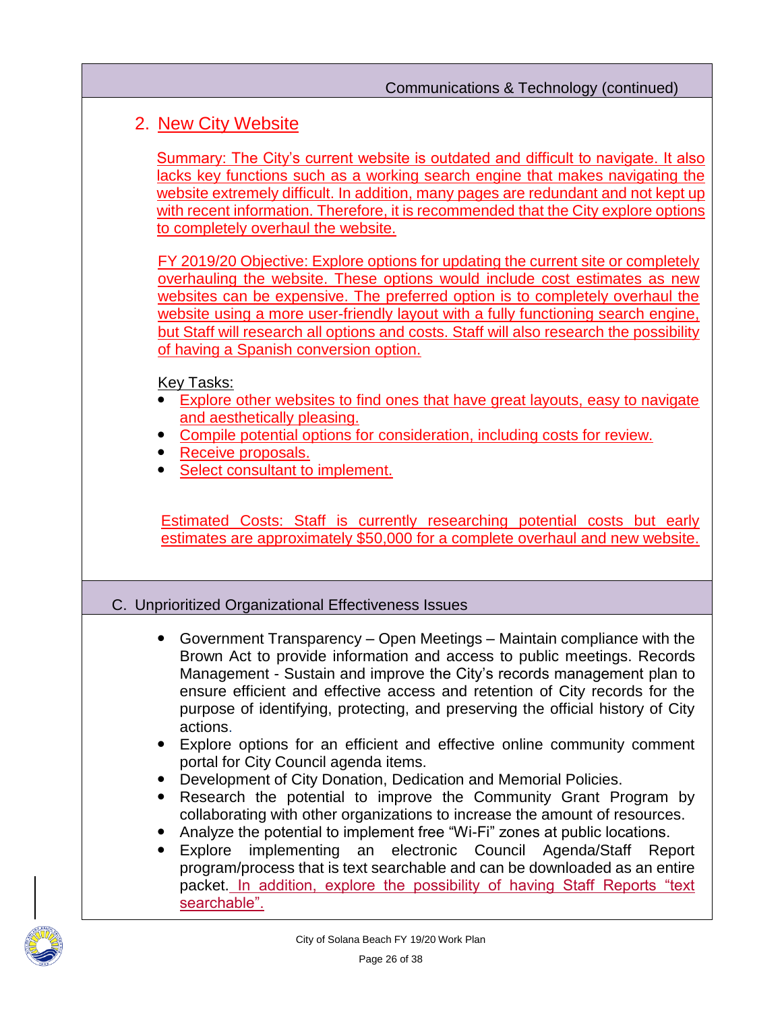#### Communications & Technology (continued)

## 2. New City Website

Summary: The City's current website is outdated and difficult to navigate. It also lacks key functions such as a working search engine that makes navigating the website extremely difficult. In addition, many pages are redundant and not kept up with recent information. Therefore, it is recommended that the City explore options to completely overhaul the website.

FY 2019/20 Objective: Explore options for updating the current site or completely overhauling the website. These options would include cost estimates as new websites can be expensive. The preferred option is to completely overhaul the website using a more user-friendly layout with a fully functioning search engine, but Staff will research all options and costs. Staff will also research the possibility of having a Spanish conversion option.

#### Key Tasks:

- Explore other websites to find ones that have great layouts, easy to navigate and aesthetically pleasing.
- Compile potential options for consideration, including costs for review.
- Receive proposals.
- Select consultant to implement.

Estimated Costs: Staff is currently researching potential costs but early estimates are approximately \$50,000 for a complete overhaul and new website.

#### C. Unprioritized Organizational Effectiveness Issues

- Government Transparency Open Meetings Maintain compliance with the Brown Act to provide information and access to public meetings. Records Management - Sustain and improve the City's records management plan to ensure efficient and effective access and retention of City records for the purpose of identifying, protecting, and preserving the official history of City actions.
- Explore options for an efficient and effective online community comment portal for City Council agenda items.
- Development of City Donation, Dedication and Memorial Policies.
- Research the potential to improve the Community Grant Program by collaborating with other organizations to increase the amount of resources.
- Analyze the potential to implement free "Wi-Fi" zones at public locations.
- Explore implementing an electronic Council Agenda/Staff Report program/process that is text searchable and can be downloaded as an entire packet. In addition, explore the possibility of having Staff Reports "text searchable".

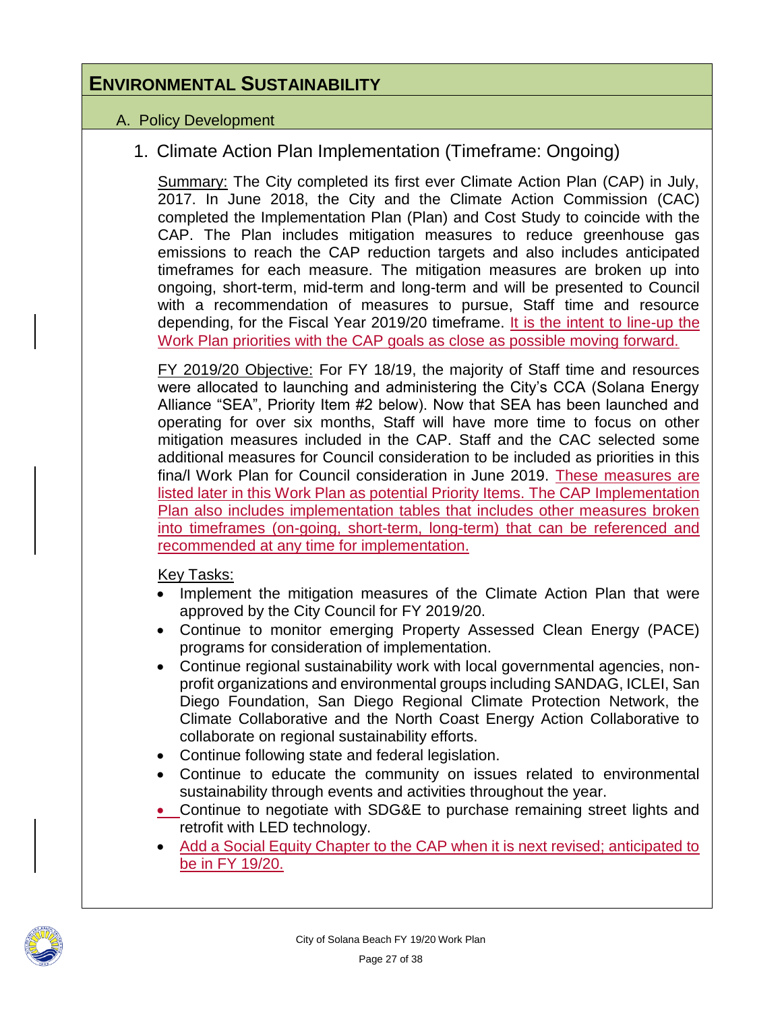## **ENVIRONMENTAL SUSTAINABILITY**

#### A. Policy Development

## 1. Climate Action Plan Implementation (Timeframe: Ongoing)

Summary: The City completed its first ever Climate Action Plan (CAP) in July, 2017. In June 2018, the City and the Climate Action Commission (CAC) completed the Implementation Plan (Plan) and Cost Study to coincide with the CAP. The Plan includes mitigation measures to reduce greenhouse gas emissions to reach the CAP reduction targets and also includes anticipated timeframes for each measure. The mitigation measures are broken up into ongoing, short-term, mid-term and long-term and will be presented to Council with a recommendation of measures to pursue, Staff time and resource depending, for the Fiscal Year 2019/20 timeframe. It is the intent to line-up the Work Plan priorities with the CAP goals as close as possible moving forward.

FY 2019/20 Objective: For FY 18/19, the majority of Staff time and resources were allocated to launching and administering the City's CCA (Solana Energy Alliance "SEA", Priority Item #2 below). Now that SEA has been launched and operating for over six months, Staff will have more time to focus on other mitigation measures included in the CAP. Staff and the CAC selected some additional measures for Council consideration to be included as priorities in this fina/l Work Plan for Council consideration in June 2019. These measures are listed later in this Work Plan as potential Priority Items. The CAP Implementation Plan also includes implementation tables that includes other measures broken into timeframes (on-going, short-term, long-term) that can be referenced and recommended at any time for implementation.

- Implement the mitigation measures of the Climate Action Plan that were approved by the City Council for FY 2019/20.
- Continue to monitor emerging Property Assessed Clean Energy (PACE) programs for consideration of implementation.
- Continue regional sustainability work with local governmental agencies, nonprofit organizations and environmental groups including SANDAG, ICLEI, San Diego Foundation, San Diego Regional Climate Protection Network, the Climate Collaborative and the North Coast Energy Action Collaborative to collaborate on regional sustainability efforts.
- Continue following state and federal legislation.
- Continue to educate the community on issues related to environmental sustainability through events and activities throughout the year.
- Continue to negotiate with SDG&E to purchase remaining street lights and retrofit with LED technology.
- Add a Social Equity Chapter to the CAP when it is next revised; anticipated to be in FY 19/20.

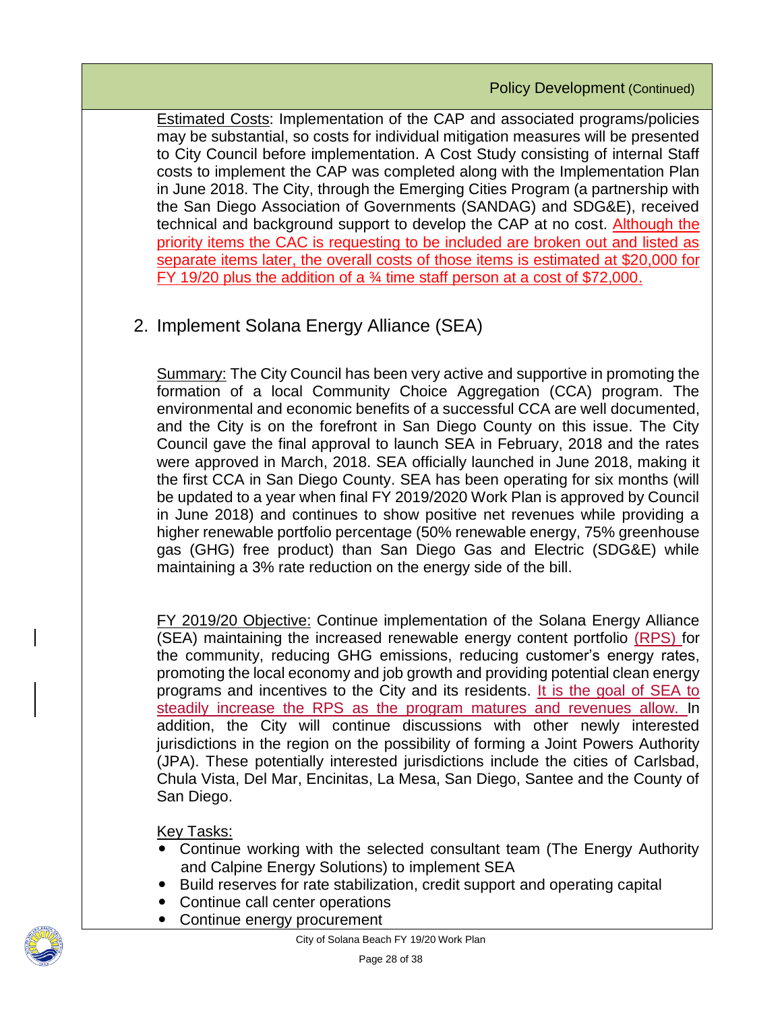Estimated Costs: Implementation of the CAP and associated programs/policies may be substantial, so costs for individual mitigation measures will be presented to City Council before implementation. A Cost Study consisting of internal Staff costs to implement the CAP was completed along with the Implementation Plan in June 2018. The City, through the Emerging Cities Program (a partnership with the San Diego Association of Governments (SANDAG) and SDG&E), received technical and background support to develop the CAP at no cost. Although the priority items the CAC is requesting to be included are broken out and listed as separate items later, the overall costs of those items is estimated at \$20,000 for FY 19/20 plus the addition of a ¾ time staff person at a cost of \$72,000.

## 2. Implement Solana Energy Alliance (SEA)

Summary: The City Council has been very active and supportive in promoting the formation of a local Community Choice Aggregation (CCA) program. The environmental and economic benefits of a successful CCA are well documented, and the City is on the forefront in San Diego County on this issue. The City Council gave the final approval to launch SEA in February, 2018 and the rates were approved in March, 2018. SEA officially launched in June 2018, making it the first CCA in San Diego County. SEA has been operating for six months (will be updated to a year when final FY 2019/2020 Work Plan is approved by Council in June 2018) and continues to show positive net revenues while providing a higher renewable portfolio percentage (50% renewable energy, 75% greenhouse gas (GHG) free product) than San Diego Gas and Electric (SDG&E) while maintaining a 3% rate reduction on the energy side of the bill.

FY 2019/20 Objective: Continue implementation of the Solana Energy Alliance (SEA) maintaining the increased renewable energy content portfolio (RPS) for the community, reducing GHG emissions, reducing customer's energy rates, promoting the local economy and job growth and providing potential clean energy programs and incentives to the City and its residents. It is the goal of SEA to steadily increase the RPS as the program matures and revenues allow. In addition, the City will continue discussions with other newly interested jurisdictions in the region on the possibility of forming a Joint Powers Authority (JPA). These potentially interested jurisdictions include the cities of Carlsbad, Chula Vista, Del Mar, Encinitas, La Mesa, San Diego, Santee and the County of San Diego.

- Continue working with the selected consultant team (The Energy Authority and Calpine Energy Solutions) to implement SEA
- Build reserves for rate stabilization, credit support and operating capital
- Continue call center operations
- Continue energy procurement

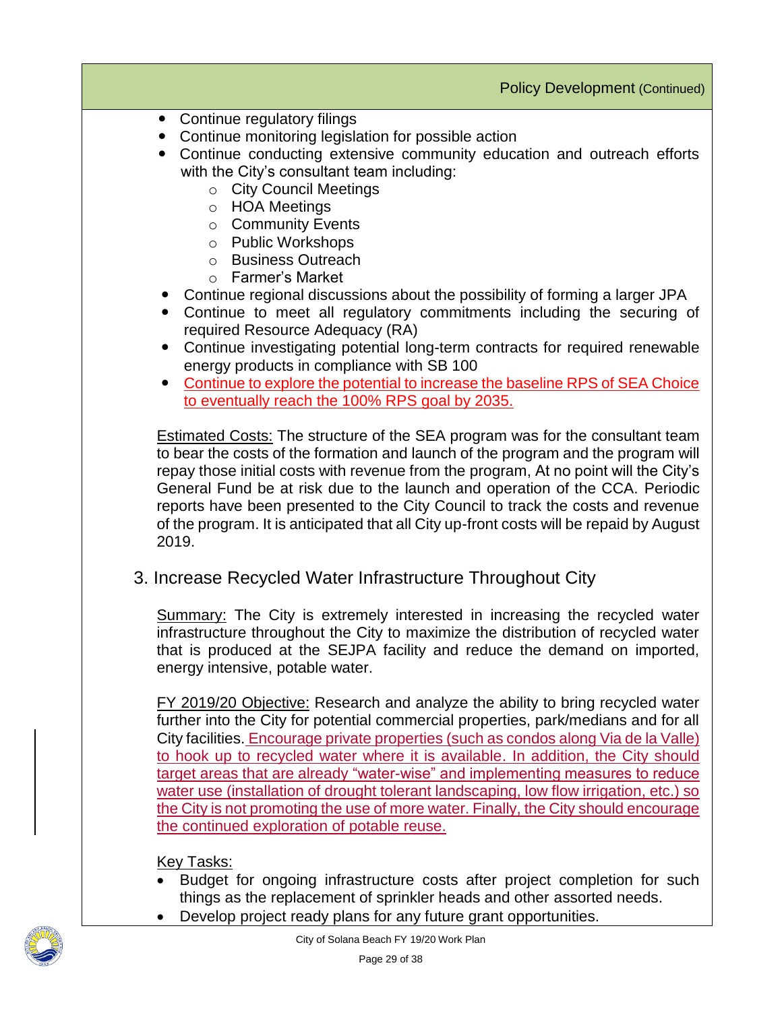- Continue regulatory filings
- Continue monitoring legislation for possible action
- Continue conducting extensive community education and outreach efforts with the City's consultant team including:
	- o City Council Meetings
	- o HOA Meetings
	- o Community Events
	- o Public Workshops
	- o Business Outreach
	- o Farmer's Market
- Continue regional discussions about the possibility of forming a larger JPA
- Continue to meet all regulatory commitments including the securing of required Resource Adequacy (RA)
- Continue investigating potential long-term contracts for required renewable energy products in compliance with SB 100
- Continue to explore the potential to increase the baseline RPS of SEA Choice to eventually reach the 100% RPS goal by 2035.

**Estimated Costs:** The structure of the SEA program was for the consultant team to bear the costs of the formation and launch of the program and the program will repay those initial costs with revenue from the program, At no point will the City's General Fund be at risk due to the launch and operation of the CCA. Periodic reports have been presented to the City Council to track the costs and revenue of the program. It is anticipated that all City up-front costs will be repaid by August 2019.

## 3. Increase Recycled Water Infrastructure Throughout City

Summary: The City is extremely interested in increasing the recycled water infrastructure throughout the City to maximize the distribution of recycled water that is produced at the SEJPA facility and reduce the demand on imported, energy intensive, potable water.

FY 2019/20 Objective: Research and analyze the ability to bring recycled water further into the City for potential commercial properties, park/medians and for all City facilities. Encourage private properties (such as condos along Via de la Valle) to hook up to recycled water where it is available. In addition, the City should target areas that are already "water-wise" and implementing measures to reduce water use (installation of drought tolerant landscaping, low flow irrigation, etc.) so the City is not promoting the use of more water. Finally, the City should encourage the continued exploration of potable reuse.

- Budget for ongoing infrastructure costs after project completion for such things as the replacement of sprinkler heads and other assorted needs.
- Develop project ready plans for any future grant opportunities.

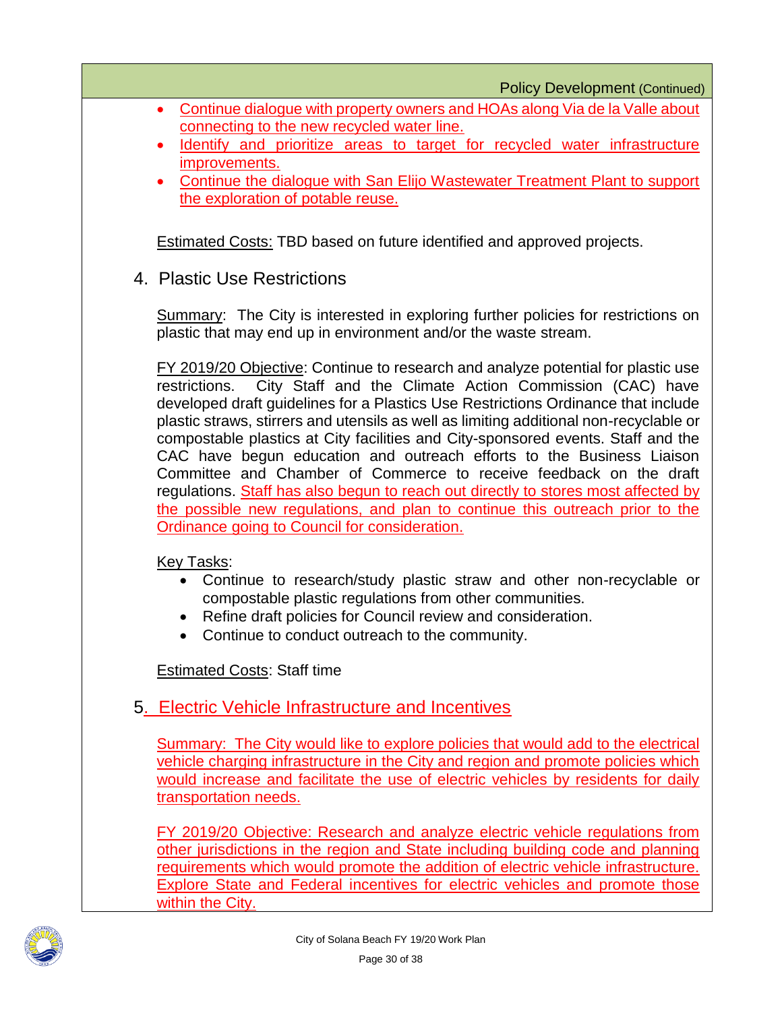- Continue dialogue with property owners and HOAs along Via de la Valle about connecting to the new recycled water line.
- Identify and prioritize areas to target for recycled water infrastructure improvements.
- Continue the dialogue with San Elijo Wastewater Treatment Plant to support the exploration of potable reuse.

Estimated Costs: TBD based on future identified and approved projects.

4. Plastic Use Restrictions

Summary: The City is interested in exploring further policies for restrictions on plastic that may end up in environment and/or the waste stream.

FY 2019/20 Objective: Continue to research and analyze potential for plastic use restrictions. City Staff and the Climate Action Commission (CAC) have developed draft guidelines for a Plastics Use Restrictions Ordinance that include plastic straws, stirrers and utensils as well as limiting additional non-recyclable or compostable plastics at City facilities and City-sponsored events. Staff and the CAC have begun education and outreach efforts to the Business Liaison Committee and Chamber of Commerce to receive feedback on the draft regulations. Staff has also begun to reach out directly to stores most affected by the possible new regulations, and plan to continue this outreach prior to the Ordinance going to Council for consideration.

Key Tasks:

- Continue to research/study plastic straw and other non-recyclable or compostable plastic regulations from other communities.
- Refine draft policies for Council review and consideration.
- Continue to conduct outreach to the community.

**Estimated Costs: Staff time** 

## 5. Electric Vehicle Infrastructure and Incentives

Summary: The City would like to explore policies that would add to the electrical vehicle charging infrastructure in the City and region and promote policies which would increase and facilitate the use of electric vehicles by residents for daily transportation needs.

FY 2019/20 Objective: Research and analyze electric vehicle regulations from other jurisdictions in the region and State including building code and planning requirements which would promote the addition of electric vehicle infrastructure. Explore State and Federal incentives for electric vehicles and promote those within the City.

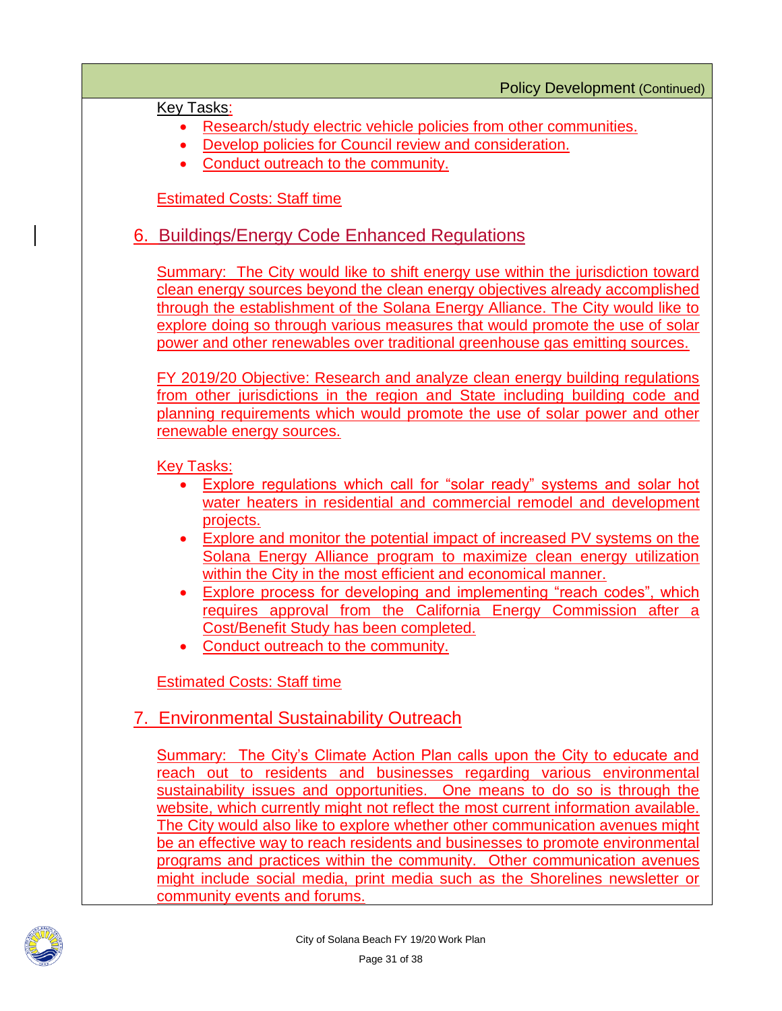Key Tasks:

- Research/study electric vehicle policies from other communities.
- Develop policies for Council review and consideration.
- Conduct outreach to the community.

**Estimated Costs: Staff time** 

## 6. Buildings/Energy Code Enhanced Regulations

Summary: The City would like to shift energy use within the jurisdiction toward clean energy sources beyond the clean energy objectives already accomplished through the establishment of the Solana Energy Alliance. The City would like to explore doing so through various measures that would promote the use of solar power and other renewables over traditional greenhouse gas emitting sources.

FY 2019/20 Objective: Research and analyze clean energy building regulations from other jurisdictions in the region and State including building code and planning requirements which would promote the use of solar power and other renewable energy sources.

Key Tasks:

- Explore regulations which call for "solar ready" systems and solar hot water heaters in residential and commercial remodel and development projects.
- Explore and monitor the potential impact of increased PV systems on the Solana Energy Alliance program to maximize clean energy utilization within the City in the most efficient and economical manner.
- Explore process for developing and implementing "reach codes", which requires approval from the California Energy Commission after a Cost/Benefit Study has been completed.
- Conduct outreach to the community.

Estimated Costs: Staff time

## 7. Environmental Sustainability Outreach

Summary: The City's Climate Action Plan calls upon the City to educate and reach out to residents and businesses regarding various environmental sustainability issues and opportunities. One means to do so is through the website, which currently might not reflect the most current information available. The City would also like to explore whether other communication avenues might be an effective way to reach residents and businesses to promote environmental programs and practices within the community. Other communication avenues might include social media, print media such as the Shorelines newsletter or community events and forums.

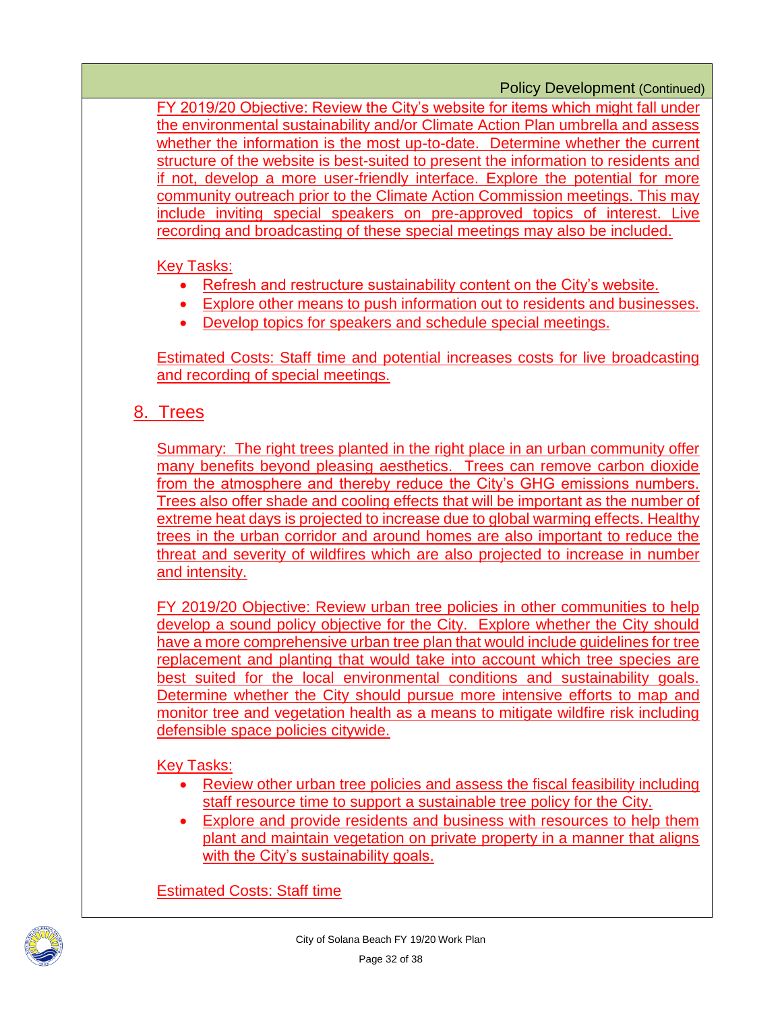FY 2019/20 Objective: Review the City's website for items which might fall under the environmental sustainability and/or Climate Action Plan umbrella and assess whether the information is the most up-to-date. Determine whether the current structure of the website is best-suited to present the information to residents and if not, develop a more user-friendly interface. Explore the potential for more community outreach prior to the Climate Action Commission meetings. This may include inviting special speakers on pre-approved topics of interest. Live recording and broadcasting of these special meetings may also be included.

**Key Tasks:** 

- Refresh and restructure sustainability content on the City's website.
- Explore other means to push information out to residents and businesses.
- Develop topics for speakers and schedule special meetings.

Estimated Costs: Staff time and potential increases costs for live broadcasting and recording of special meetings.

## 8. Trees

Summary: The right trees planted in the right place in an urban community offer many benefits beyond pleasing aesthetics. Trees can remove carbon dioxide from the atmosphere and thereby reduce the City's GHG emissions numbers. Trees also offer shade and cooling effects that will be important as the number of extreme heat days is projected to increase due to global warming effects. Healthy trees in the urban corridor and around homes are also important to reduce the threat and severity of wildfires which are also projected to increase in number and intensity.

FY 2019/20 Objective: Review urban tree policies in other communities to help develop a sound policy objective for the City. Explore whether the City should have a more comprehensive urban tree plan that would include guidelines for tree replacement and planting that would take into account which tree species are best suited for the local environmental conditions and sustainability goals. Determine whether the City should pursue more intensive efforts to map and monitor tree and vegetation health as a means to mitigate wildfire risk including defensible space policies citywide.

Key Tasks:

- Review other urban tree policies and assess the fiscal feasibility including staff resource time to support a sustainable tree policy for the City.
- Explore and provide residents and business with resources to help them plant and maintain vegetation on private property in a manner that aligns with the City's sustainability goals.

Estimated Costs: Staff time

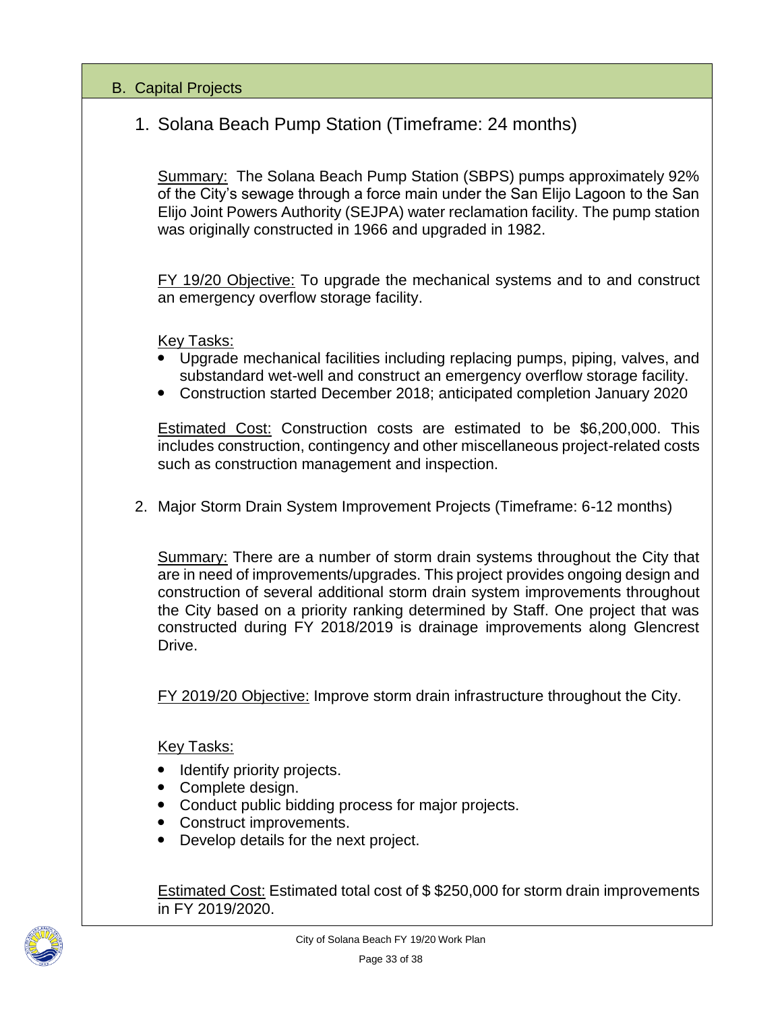#### B. Capital Projects

## 1. Solana Beach Pump Station (Timeframe: 24 months)

Summary: The Solana Beach Pump Station (SBPS) pumps approximately 92% of the City's sewage through a force main under the San Elijo Lagoon to the San Elijo Joint Powers Authority (SEJPA) water reclamation facility. The pump station was originally constructed in 1966 and upgraded in 1982.

FY 19/20 Objective: To upgrade the mechanical systems and to and construct an emergency overflow storage facility.

Key Tasks:

- Upgrade mechanical facilities including replacing pumps, piping, valves, and substandard wet-well and construct an emergency overflow storage facility.
- Construction started December 2018; anticipated completion January 2020

Estimated Cost: Construction costs are estimated to be \$6,200,000. This includes construction, contingency and other miscellaneous project-related costs such as construction management and inspection.

2. Major Storm Drain System Improvement Projects (Timeframe: 6-12 months)

Summary: There are a number of storm drain systems throughout the City that are in need of improvements/upgrades. This project provides ongoing design and construction of several additional storm drain system improvements throughout the City based on a priority ranking determined by Staff. One project that was constructed during FY 2018/2019 is drainage improvements along Glencrest Drive.

FY 2019/20 Objective: Improve storm drain infrastructure throughout the City.

Key Tasks:

- Identify priority projects.
- Complete design.
- Conduct public bidding process for major projects.
- Construct improvements.
- Develop details for the next project.

Estimated Cost: Estimated total cost of \$ \$250,000 for storm drain improvements in FY 2019/2020.

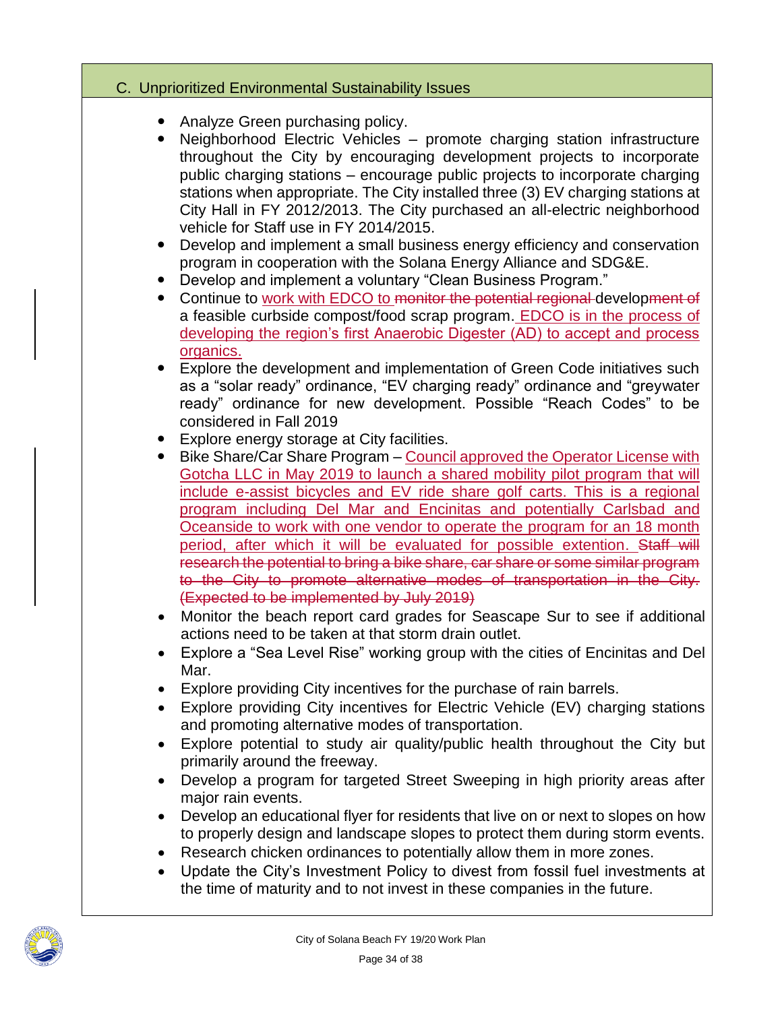#### C. Unprioritized Environmental Sustainability Issues

- Analyze Green purchasing policy.
- Neighborhood Electric Vehicles promote charging station infrastructure throughout the City by encouraging development projects to incorporate public charging stations – encourage public projects to incorporate charging stations when appropriate. The City installed three (3) EV charging stations at City Hall in FY 2012/2013. The City purchased an all-electric neighborhood vehicle for Staff use in FY 2014/2015.
- Develop and implement a small business energy efficiency and conservation program in cooperation with the Solana Energy Alliance and SDG&E.
- Develop and implement a voluntary "Clean Business Program."
- Continue to work with EDCO to monitor the potential regional development of a feasible curbside compost/food scrap program. EDCO is in the process of developing the region's first Anaerobic Digester (AD) to accept and process organics.
- Explore the development and implementation of Green Code initiatives such as a "solar ready" ordinance, "EV charging ready" ordinance and "greywater ready" ordinance for new development. Possible "Reach Codes" to be considered in Fall 2019
- Explore energy storage at City facilities.
- Bike Share/Car Share Program Council approved the Operator License with Gotcha LLC in May 2019 to launch a shared mobility pilot program that will include e-assist bicycles and EV ride share golf carts. This is a regional program including Del Mar and Encinitas and potentially Carlsbad and Oceanside to work with one vendor to operate the program for an 18 month period, after which it will be evaluated for possible extention. Staff will research the potential to bring a bike share, car share or some similar program to the City to promote alternative modes of transportation in the City. (Expected to be implemented by July 2019)
- Monitor the beach report card grades for Seascape Sur to see if additional actions need to be taken at that storm drain outlet.
- Explore a "Sea Level Rise" working group with the cities of Encinitas and Del Mar.
- Explore providing City incentives for the purchase of rain barrels.
- Explore providing City incentives for Electric Vehicle (EV) charging stations and promoting alternative modes of transportation.
- Explore potential to study air quality/public health throughout the City but primarily around the freeway.
- Develop a program for targeted Street Sweeping in high priority areas after major rain events.
- Develop an educational flyer for residents that live on or next to slopes on how to properly design and landscape slopes to protect them during storm events.
- Research chicken ordinances to potentially allow them in more zones.
- Update the City's Investment Policy to divest from fossil fuel investments at the time of maturity and to not invest in these companies in the future.

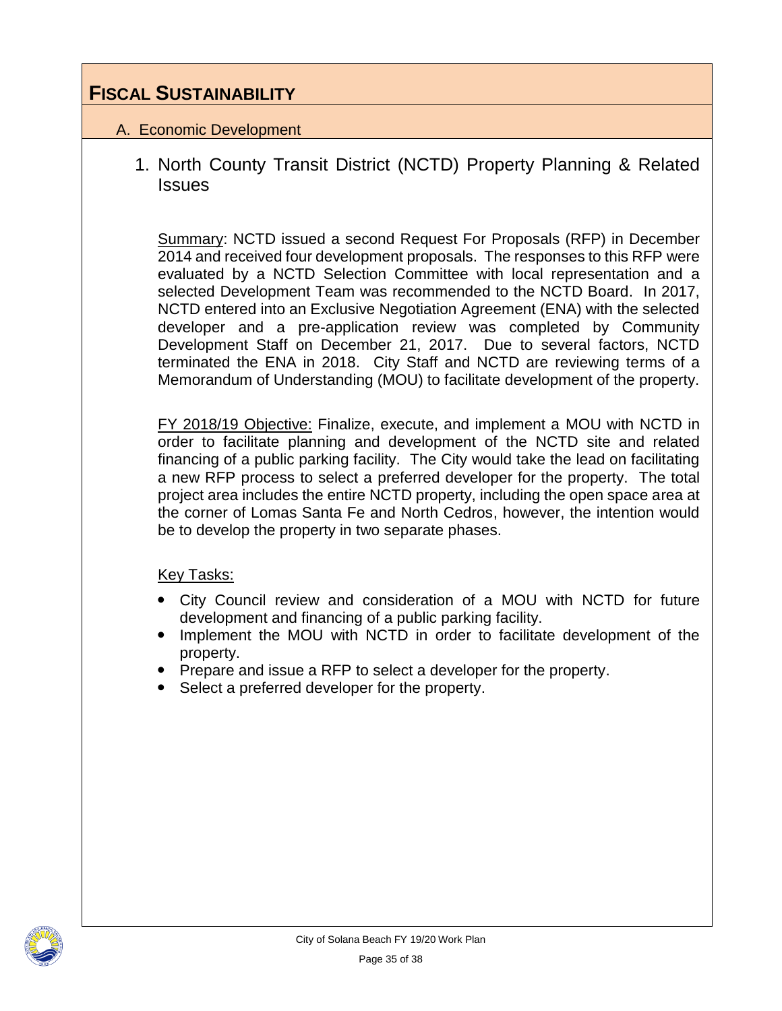## **FISCAL SUSTAINABILITY**

#### A. Economic Development

1. North County Transit District (NCTD) Property Planning & Related **Issues** 

Summary: NCTD issued a second Request For Proposals (RFP) in December 2014 and received four development proposals. The responses to this RFP were evaluated by a NCTD Selection Committee with local representation and a selected Development Team was recommended to the NCTD Board. In 2017, NCTD entered into an Exclusive Negotiation Agreement (ENA) with the selected developer and a pre-application review was completed by Community Development Staff on December 21, 2017. Due to several factors, NCTD terminated the ENA in 2018. City Staff and NCTD are reviewing terms of a Memorandum of Understanding (MOU) to facilitate development of the property.

FY 2018/19 Objective: Finalize, execute, and implement a MOU with NCTD in order to facilitate planning and development of the NCTD site and related financing of a public parking facility. The City would take the lead on facilitating a new RFP process to select a preferred developer for the property. The total project area includes the entire NCTD property, including the open space area at the corner of Lomas Santa Fe and North Cedros, however, the intention would be to develop the property in two separate phases.

- City Council review and consideration of a MOU with NCTD for future development and financing of a public parking facility.
- Implement the MOU with NCTD in order to facilitate development of the property.
- Prepare and issue a RFP to select a developer for the property.
- Select a preferred developer for the property.

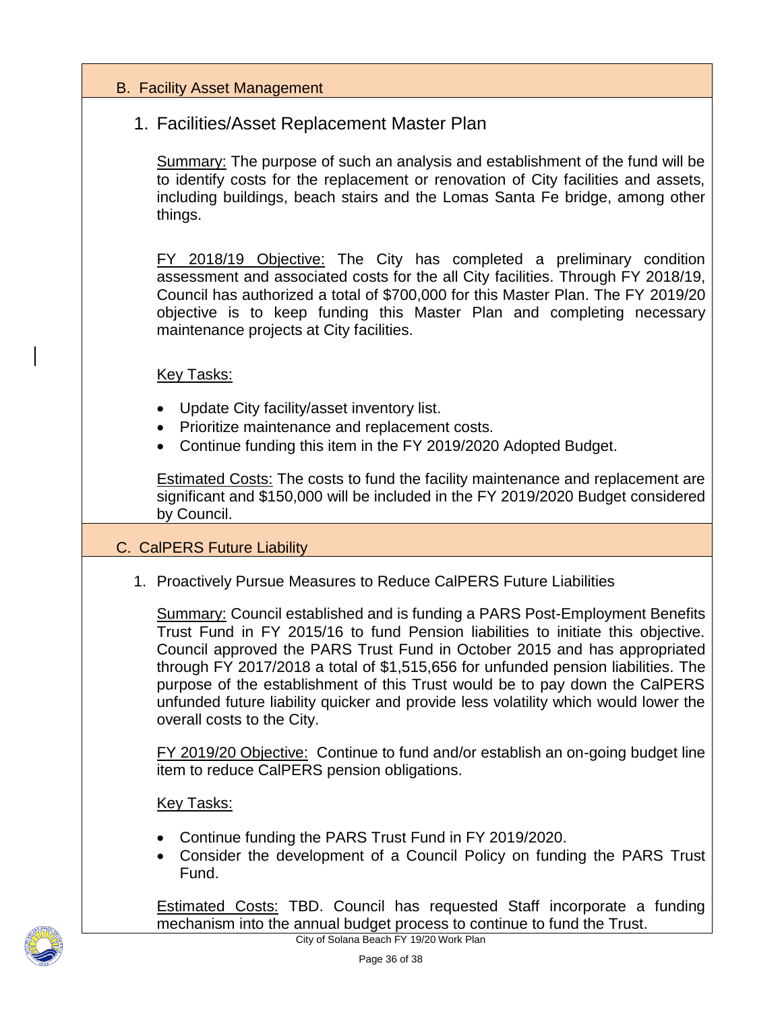#### B. Facility Asset Management

#### 1. Facilities/Asset Replacement Master Plan

Summary: The purpose of such an analysis and establishment of the fund will be to identify costs for the replacement or renovation of City facilities and assets, including buildings, beach stairs and the Lomas Santa Fe bridge, among other things.

FY 2018/19 Objective: The City has completed a preliminary condition assessment and associated costs for the all City facilities. Through FY 2018/19, Council has authorized a total of \$700,000 for this Master Plan. The FY 2019/20 objective is to keep funding this Master Plan and completing necessary maintenance projects at City facilities.

#### Key Tasks:

- Update City facility/asset inventory list.
- Prioritize maintenance and replacement costs.
- Continue funding this item in the FY 2019/2020 Adopted Budget.

Estimated Costs: The costs to fund the facility maintenance and replacement are significant and \$150,000 will be included in the FY 2019/2020 Budget considered by Council.

#### C. CalPERS Future Liability

1. Proactively Pursue Measures to Reduce CalPERS Future Liabilities

Summary: Council established and is funding a PARS Post-Employment Benefits Trust Fund in FY 2015/16 to fund Pension liabilities to initiate this objective. Council approved the PARS Trust Fund in October 2015 and has appropriated through FY 2017/2018 a total of \$1,515,656 for unfunded pension liabilities. The purpose of the establishment of this Trust would be to pay down the CalPERS unfunded future liability quicker and provide less volatility which would lower the overall costs to the City.

FY 2019/20 Objective: Continue to fund and/or establish an on-going budget line item to reduce CalPERS pension obligations.

#### Key Tasks:

- Continue funding the PARS Trust Fund in FY 2019/2020.
- Consider the development of a Council Policy on funding the PARS Trust Fund.

Estimated Costs: TBD. Council has requested Staff incorporate a funding mechanism into the annual budget process to continue to fund the Trust.

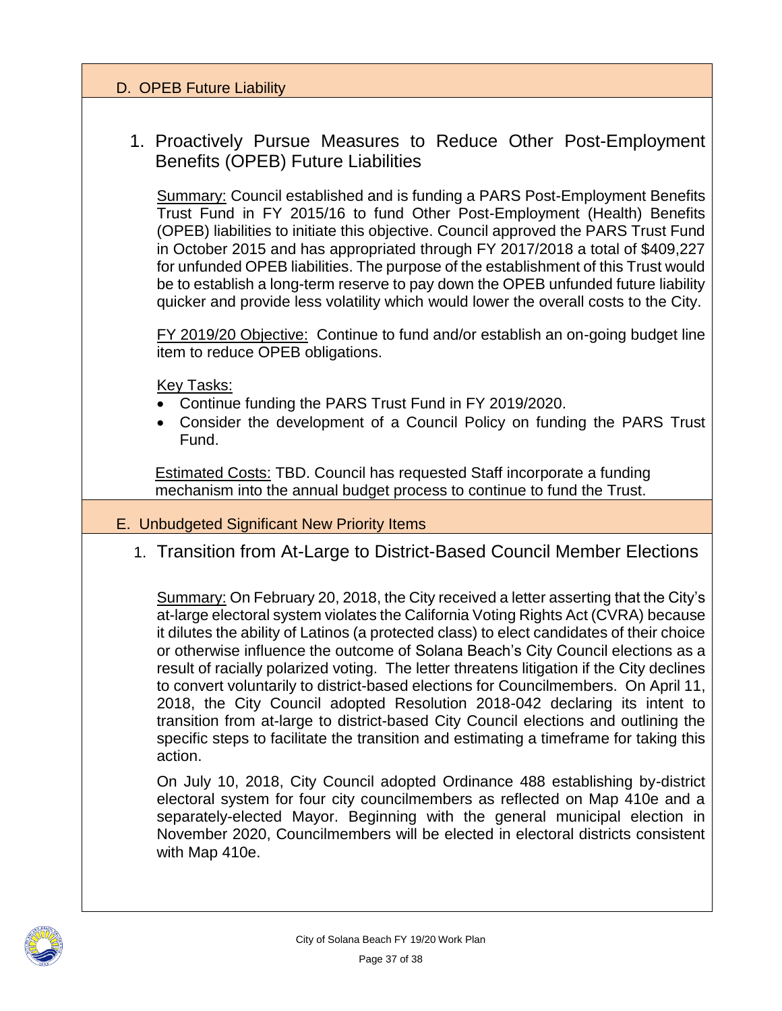#### D. OPEB Future Liability

## 1. Proactively Pursue Measures to Reduce Other Post-Employment Benefits (OPEB) Future Liabilities

Summary: Council established and is funding a PARS Post-Employment Benefits Trust Fund in FY 2015/16 to fund Other Post-Employment (Health) Benefits (OPEB) liabilities to initiate this objective. Council approved the PARS Trust Fund in October 2015 and has appropriated through FY 2017/2018 a total of \$409,227 for unfunded OPEB liabilities. The purpose of the establishment of this Trust would be to establish a long-term reserve to pay down the OPEB unfunded future liability quicker and provide less volatility which would lower the overall costs to the City.

FY 2019/20 Objective: Continue to fund and/or establish an on-going budget line item to reduce OPEB obligations.

Key Tasks:

- Continue funding the PARS Trust Fund in FY 2019/2020.
- Consider the development of a Council Policy on funding the PARS Trust Fund.

Estimated Costs: TBD. Council has requested Staff incorporate a funding mechanism into the annual budget process to continue to fund the Trust.

- E. Unbudgeted Significant New Priority Items
	- 1. Transition from At-Large to District-Based Council Member Elections

Summary: On February 20, 2018, the City received a letter asserting that the City's at-large electoral system violates the California Voting Rights Act (CVRA) because it dilutes the ability of Latinos (a protected class) to elect candidates of their choice or otherwise influence the outcome of Solana Beach's City Council elections as a result of racially polarized voting. The letter threatens litigation if the City declines to convert voluntarily to district-based elections for Councilmembers. On April 11, 2018, the City Council adopted Resolution 2018-042 declaring its intent to transition from at-large to district-based City Council elections and outlining the specific steps to facilitate the transition and estimating a timeframe for taking this action.

On July 10, 2018, City Council adopted Ordinance 488 establishing by-district electoral system for four city councilmembers as reflected on Map 410e and a separately-elected Mayor. Beginning with the general municipal election in November 2020, Councilmembers will be elected in electoral districts consistent with Map 410e.